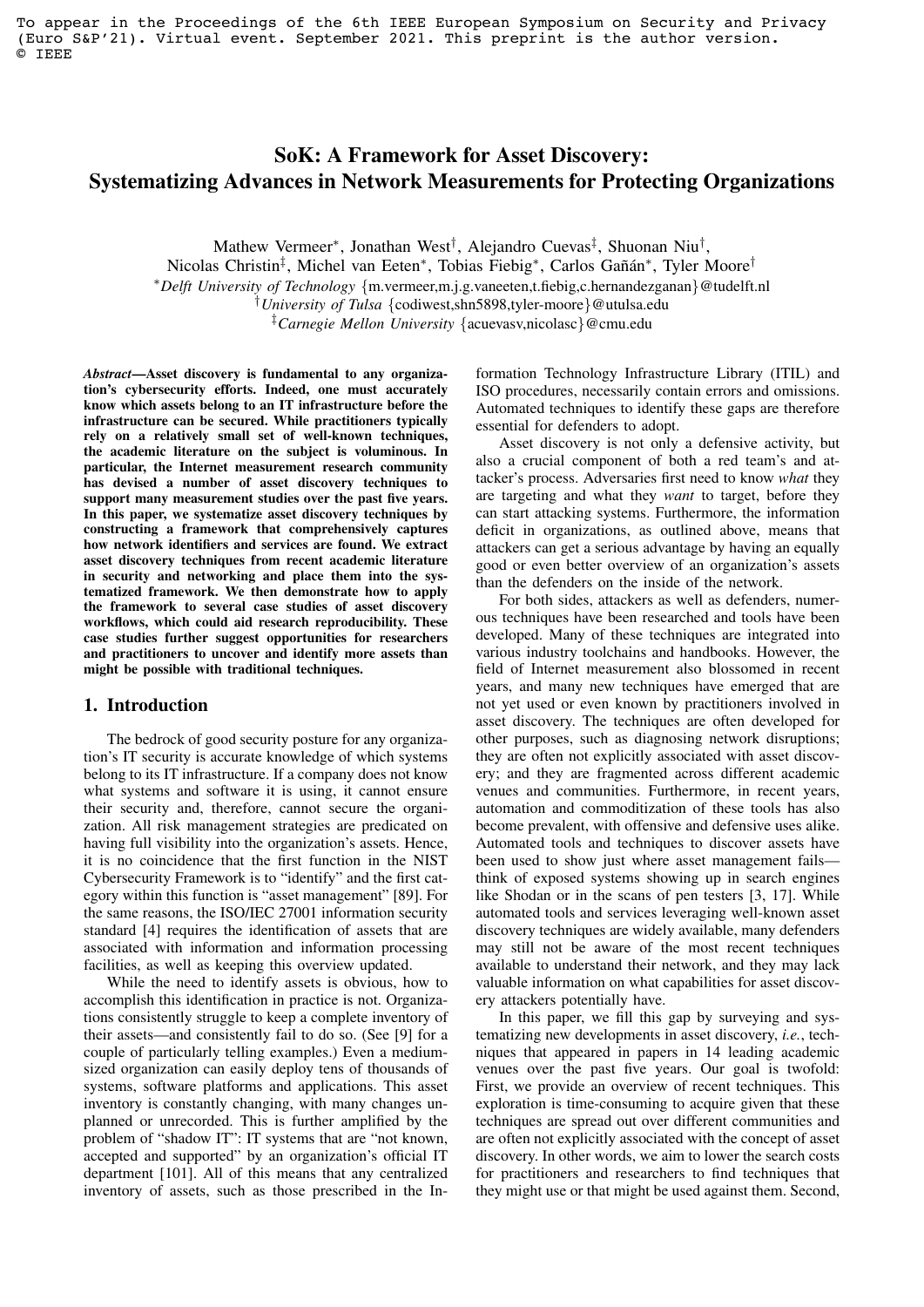To appear in the Proceedings of the 6th IEEE European Symposium on Security and Privacy (Euro S&P'21). Virtual event. September 2021. This preprint is the author version. © IEEE

# SoK: A Framework for Asset Discovery: Systematizing Advances in Network Measurements for Protecting Organizations

Mathew Vermeer\*, Jonathan West<sup>†</sup>, Alejandro Cuevas<sup>‡</sup>, Shuonan Niu<sup>†</sup>,

Nicolas Christin<sup>‡</sup>, Michel van Eeten<sup>\*</sup>, Tobias Fiebig<sup>\*</sup>, Carlos Gañán<sup>\*</sup>, Tyler Moore<sup>†</sup>

<sup>∗</sup>*Delft University of Technology* {m.vermeer,m.j.g.vaneeten,t.fiebig,c.hernandezganan}@tudelft.nl

†*University of Tulsa* {codiwest,shn5898,tyler-moore}@utulsa.edu

‡*Carnegie Mellon University* {acuevasv,nicolasc}@cmu.edu

*Abstract*—Asset discovery is fundamental to any organization's cybersecurity efforts. Indeed, one must accurately know which assets belong to an IT infrastructure before the infrastructure can be secured. While practitioners typically rely on a relatively small set of well-known techniques, the academic literature on the subject is voluminous. In particular, the Internet measurement research community has devised a number of asset discovery techniques to support many measurement studies over the past five years. In this paper, we systematize asset discovery techniques by constructing a framework that comprehensively captures how network identifiers and services are found. We extract asset discovery techniques from recent academic literature in security and networking and place them into the systematized framework. We then demonstrate how to apply the framework to several case studies of asset discovery workflows, which could aid research reproducibility. These case studies further suggest opportunities for researchers and practitioners to uncover and identify more assets than might be possible with traditional techniques.

### 1. Introduction

The bedrock of good security posture for any organization's IT security is accurate knowledge of which systems belong to its IT infrastructure. If a company does not know what systems and software it is using, it cannot ensure their security and, therefore, cannot secure the organization. All risk management strategies are predicated on having full visibility into the organization's assets. Hence, it is no coincidence that the first function in the NIST Cybersecurity Framework is to "identify" and the first category within this function is "asset management" [\[89\]](#page-15-0). For the same reasons, the ISO/IEC 27001 information security standard [\[4\]](#page-13-0) requires the identification of assets that are associated with information and information processing facilities, as well as keeping this overview updated.

While the need to identify assets is obvious, how to accomplish this identification in practice is not. Organizations consistently struggle to keep a complete inventory of their assets—and consistently fail to do so. (See [\[9\]](#page-13-1) for a couple of particularly telling examples.) Even a mediumsized organization can easily deploy tens of thousands of systems, software platforms and applications. This asset inventory is constantly changing, with many changes unplanned or unrecorded. This is further amplified by the problem of "shadow IT": IT systems that are "not known, accepted and supported" by an organization's official IT department [\[101\]](#page-15-1). All of this means that any centralized inventory of assets, such as those prescribed in the In-

formation Technology Infrastructure Library (ITIL) and ISO procedures, necessarily contain errors and omissions. Automated techniques to identify these gaps are therefore essential for defenders to adopt.

Asset discovery is not only a defensive activity, but also a crucial component of both a red team's and attacker's process. Adversaries first need to know *what* they are targeting and what they *want* to target, before they can start attacking systems. Furthermore, the information deficit in organizations, as outlined above, means that attackers can get a serious advantage by having an equally good or even better overview of an organization's assets than the defenders on the inside of the network.

For both sides, attackers as well as defenders, numerous techniques have been researched and tools have been developed. Many of these techniques are integrated into various industry toolchains and handbooks. However, the field of Internet measurement also blossomed in recent years, and many new techniques have emerged that are not yet used or even known by practitioners involved in asset discovery. The techniques are often developed for other purposes, such as diagnosing network disruptions; they are often not explicitly associated with asset discovery; and they are fragmented across different academic venues and communities. Furthermore, in recent years, automation and commoditization of these tools has also become prevalent, with offensive and defensive uses alike. Automated tools and techniques to discover assets have been used to show just where asset management fails think of exposed systems showing up in search engines like Shodan or in the scans of pen testers [\[3,](#page-13-2) [17\]](#page-13-3). While automated tools and services leveraging well-known asset discovery techniques are widely available, many defenders may still not be aware of the most recent techniques available to understand their network, and they may lack valuable information on what capabilities for asset discovery attackers potentially have.

In this paper, we fill this gap by surveying and systematizing new developments in asset discovery, *i.e.*, techniques that appeared in papers in 14 leading academic venues over the past five years. Our goal is twofold: First, we provide an overview of recent techniques. This exploration is time-consuming to acquire given that these techniques are spread out over different communities and are often not explicitly associated with the concept of asset discovery. In other words, we aim to lower the search costs for practitioners and researchers to find techniques that they might use or that might be used against them. Second,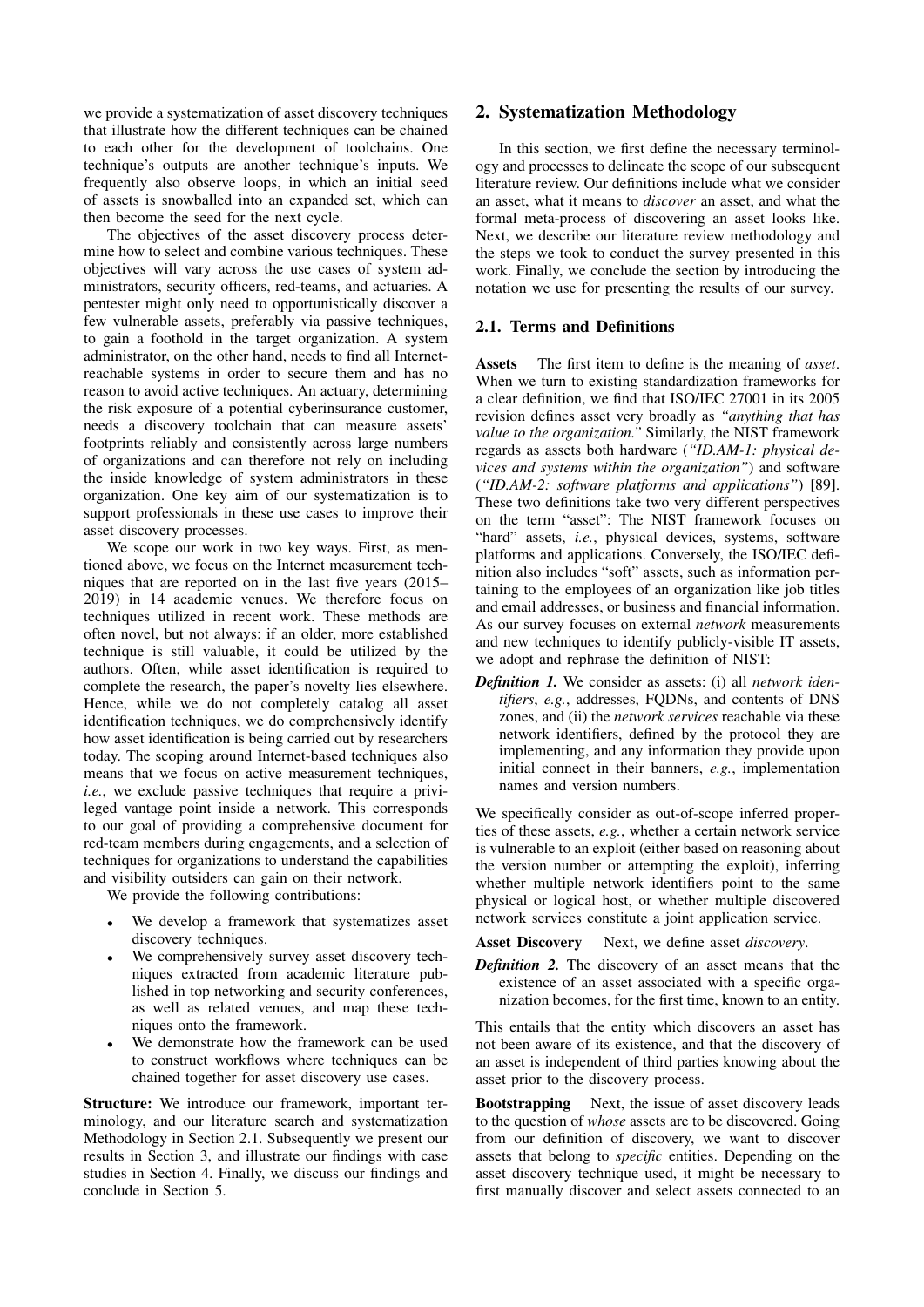we provide a systematization of asset discovery techniques that illustrate how the different techniques can be chained to each other for the development of toolchains. One technique's outputs are another technique's inputs. We frequently also observe loops, in which an initial seed of assets is snowballed into an expanded set, which can then become the seed for the next cycle.

The objectives of the asset discovery process determine how to select and combine various techniques. These objectives will vary across the use cases of system administrators, security officers, red-teams, and actuaries. A pentester might only need to opportunistically discover a few vulnerable assets, preferably via passive techniques, to gain a foothold in the target organization. A system administrator, on the other hand, needs to find all Internetreachable systems in order to secure them and has no reason to avoid active techniques. An actuary, determining the risk exposure of a potential cyberinsurance customer, needs a discovery toolchain that can measure assets' footprints reliably and consistently across large numbers of organizations and can therefore not rely on including the inside knowledge of system administrators in these organization. One key aim of our systematization is to support professionals in these use cases to improve their asset discovery processes.

We scope our work in two key ways. First, as mentioned above, we focus on the Internet measurement techniques that are reported on in the last five years (2015– 2019) in 14 academic venues. We therefore focus on techniques utilized in recent work. These methods are often novel, but not always: if an older, more established technique is still valuable, it could be utilized by the authors. Often, while asset identification is required to complete the research, the paper's novelty lies elsewhere. Hence, while we do not completely catalog all asset identification techniques, we do comprehensively identify how asset identification is being carried out by researchers today. The scoping around Internet-based techniques also means that we focus on active measurement techniques, *i.e.*, we exclude passive techniques that require a privileged vantage point inside a network. This corresponds to our goal of providing a comprehensive document for red-team members during engagements, and a selection of techniques for organizations to understand the capabilities and visibility outsiders can gain on their network.

We provide the following contributions:

- We develop a framework that systematizes asset discovery techniques.
- We comprehensively survey asset discovery techniques extracted from academic literature published in top networking and security conferences, as well as related venues, and map these techniques onto the framework.
- We demonstrate how the framework can be used to construct workflows where techniques can be chained together for asset discovery use cases.

Structure: We introduce our framework, important terminology, and our literature search and systematization Methodology in Section [2.1.](#page-1-0) Subsequently we present our results in Section [3,](#page-3-0) and illustrate our findings with case studies in Section [4.](#page-10-0) Finally, we discuss our findings and conclude in Section [5.](#page-11-0)

### 2. Systematization Methodology

In this section, we first define the necessary terminology and processes to delineate the scope of our subsequent literature review. Our definitions include what we consider an asset, what it means to *discover* an asset, and what the formal meta-process of discovering an asset looks like. Next, we describe our literature review methodology and the steps we took to conduct the survey presented in this work. Finally, we conclude the section by introducing the notation we use for presenting the results of our survey.

#### <span id="page-1-0"></span>2.1. Terms and Definitions

Assets The first item to define is the meaning of *asset*. When we turn to existing standardization frameworks for a clear definition, we find that ISO/IEC 27001 in its 2005 revision defines asset very broadly as *"anything that has value to the organization."* Similarly, the NIST framework regards as assets both hardware (*"ID.AM-1: physical devices and systems within the organization"*) and software (*"ID.AM-2: software platforms and applications"*) [\[89\]](#page-15-0). These two definitions take two very different perspectives on the term "asset": The NIST framework focuses on "hard" assets, *i.e.*, physical devices, systems, software platforms and applications. Conversely, the ISO/IEC definition also includes "soft" assets, such as information pertaining to the employees of an organization like job titles and email addresses, or business and financial information. As our survey focuses on external *network* measurements and new techniques to identify publicly-visible IT assets, we adopt and rephrase the definition of NIST:

*Definition 1.* We consider as assets: (i) all *network identifiers*, *e.g.*, addresses, FQDNs, and contents of DNS zones, and (ii) the *network services* reachable via these network identifiers, defined by the protocol they are implementing, and any information they provide upon initial connect in their banners, *e.g.*, implementation names and version numbers.

We specifically consider as out-of-scope inferred properties of these assets, *e.g.*, whether a certain network service is vulnerable to an exploit (either based on reasoning about the version number or attempting the exploit), inferring whether multiple network identifiers point to the same physical or logical host, or whether multiple discovered network services constitute a joint application service.

Asset Discovery Next, we define asset *discovery*.

*Definition 2.* The discovery of an asset means that the existence of an asset associated with a specific organization becomes, for the first time, known to an entity.

This entails that the entity which discovers an asset has not been aware of its existence, and that the discovery of an asset is independent of third parties knowing about the asset prior to the discovery process.

Bootstrapping Next, the issue of asset discovery leads to the question of *whose* assets are to be discovered. Going from our definition of discovery, we want to discover assets that belong to *specific* entities. Depending on the asset discovery technique used, it might be necessary to first manually discover and select assets connected to an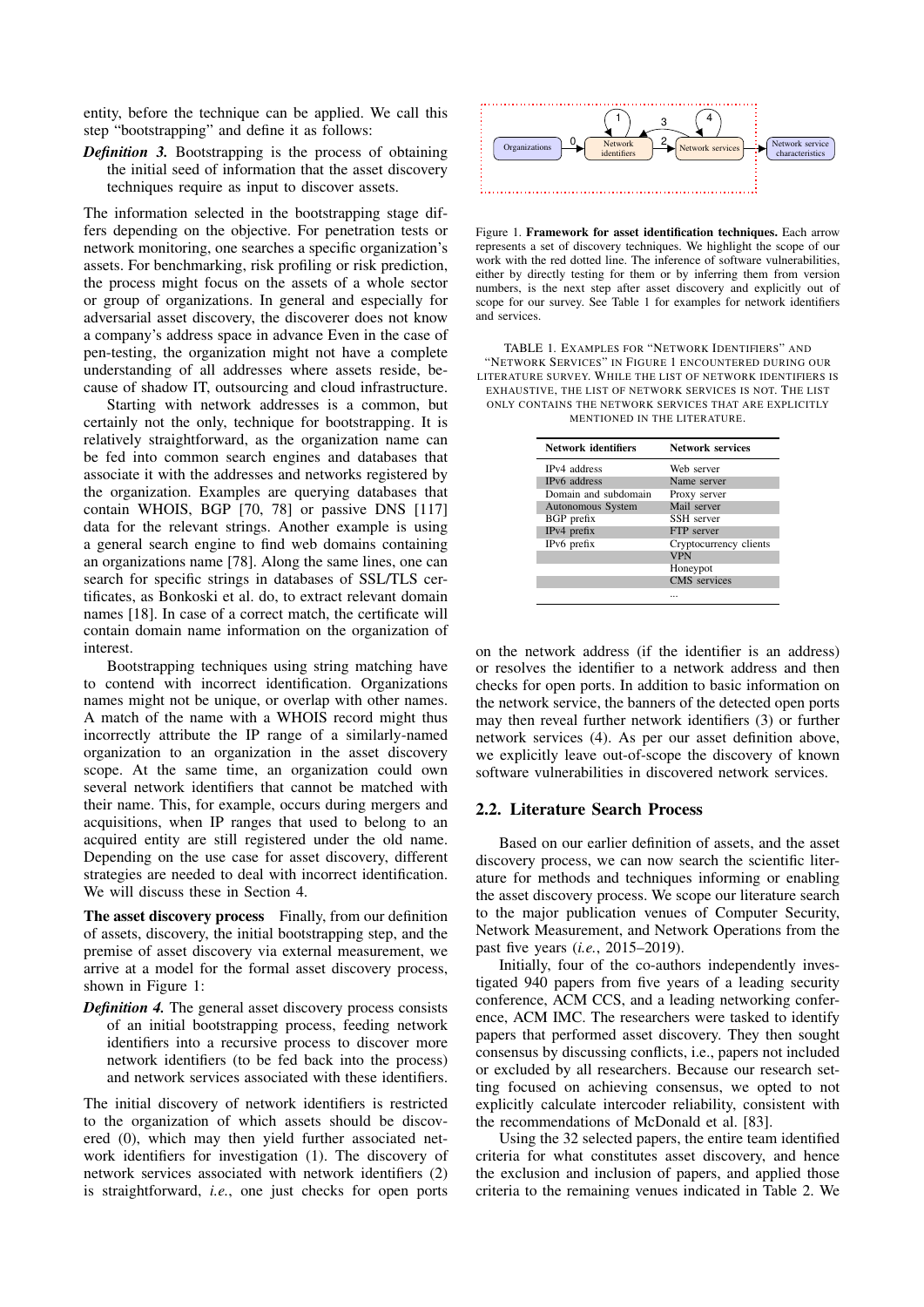entity, before the technique can be applied. We call this step "bootstrapping" and define it as follows:

*Definition 3.* Bootstrapping is the process of obtaining the initial seed of information that the asset discovery techniques require as input to discover assets.

The information selected in the bootstrapping stage differs depending on the objective. For penetration tests or network monitoring, one searches a specific organization's assets. For benchmarking, risk profiling or risk prediction, the process might focus on the assets of a whole sector or group of organizations. In general and especially for adversarial asset discovery, the discoverer does not know a company's address space in advance Even in the case of pen-testing, the organization might not have a complete understanding of all addresses where assets reside, because of shadow IT, outsourcing and cloud infrastructure.

Starting with network addresses is a common, but certainly not the only, technique for bootstrapping. It is relatively straightforward, as the organization name can be fed into common search engines and databases that associate it with the addresses and networks registered by the organization. Examples are querying databases that contain WHOIS, BGP [\[70,](#page-15-2) [78\]](#page-15-3) or passive DNS [\[117\]](#page-16-0) data for the relevant strings. Another example is using a general search engine to find web domains containing an organizations name [\[78\]](#page-15-3). Along the same lines, one can search for specific strings in databases of SSL/TLS certificates, as Bonkoski et al. do, to extract relevant domain names [\[18\]](#page-13-4). In case of a correct match, the certificate will contain domain name information on the organization of interest.

Bootstrapping techniques using string matching have to contend with incorrect identification. Organizations names might not be unique, or overlap with other names. A match of the name with a WHOIS record might thus incorrectly attribute the IP range of a similarly-named organization to an organization in the asset discovery scope. At the same time, an organization could own several network identifiers that cannot be matched with their name. This, for example, occurs during mergers and acquisitions, when IP ranges that used to belong to an acquired entity are still registered under the old name. Depending on the use case for asset discovery, different strategies are needed to deal with incorrect identification. We will discuss these in Section [4.](#page-10-0)

The asset discovery process Finally, from our definition of assets, discovery, the initial bootstrapping step, and the premise of asset discovery via external measurement, we arrive at a model for the formal asset discovery process, shown in Figure [1:](#page-2-0)

*Definition 4.* The general asset discovery process consists of an initial bootstrapping process, feeding network identifiers into a recursive process to discover more network identifiers (to be fed back into the process) and network services associated with these identifiers.

The initial discovery of network identifiers is restricted to the organization of which assets should be discovered (0), which may then yield further associated network identifiers for investigation (1). The discovery of network services associated with network identifiers (2) is straightforward, *i.e.*, one just checks for open ports



<span id="page-2-0"></span>Figure 1. Framework for asset identification techniques. Each arrow represents a set of discovery techniques. We highlight the scope of our work with the red dotted line. The inference of software vulnerabilities, either by directly testing for them or by inferring them from version numbers, is the next step after asset discovery and explicitly out of scope for our survey. See Table [1](#page-2-1) for examples for network identifiers and services.

<span id="page-2-1"></span>TABLE 1. EXAMPLES FOR "NETWORK IDENTIFIERS" AND "NETWORK SERVICES" IN FIGURE [1](#page-2-0) ENCOUNTERED DURING OUR LITERATURE SURVEY. WHILE THE LIST OF NETWORK IDENTIFIERS IS EXHAUSTIVE, THE LIST OF NETWORK SERVICES IS NOT. THE LIST ONLY CONTAINS THE NETWORK SERVICES THAT ARE EXPLICITLY MENTIONED IN THE LITERATURE.

| <b>Network identifiers</b> | <b>Network services</b> |
|----------------------------|-------------------------|
| IPv4 address               | Web server              |
| IPv6 address               | Name server             |
| Domain and subdomain       | Proxy server            |
| Autonomous System          | Mail server             |
| BGP prefix                 | SSH server              |
| IPv4 prefix                | <b>FTP</b> server       |
| IPv6 prefix                | Cryptocurrency clients  |
|                            | <b>VPN</b>              |
|                            | Honeypot                |
|                            | CMS services            |
|                            |                         |

on the network address (if the identifier is an address) or resolves the identifier to a network address and then checks for open ports. In addition to basic information on the network service, the banners of the detected open ports may then reveal further network identifiers (3) or further network services (4). As per our asset definition above, we explicitly leave out-of-scope the discovery of known software vulnerabilities in discovered network services.

#### 2.2. Literature Search Process

Based on our earlier definition of assets, and the asset discovery process, we can now search the scientific literature for methods and techniques informing or enabling the asset discovery process. We scope our literature search to the major publication venues of Computer Security, Network Measurement, and Network Operations from the past five years (*i.e.*, 2015–2019).

Initially, four of the co-authors independently investigated 940 papers from five years of a leading security conference, ACM CCS, and a leading networking conference, ACM IMC. The researchers were tasked to identify papers that performed asset discovery. They then sought consensus by discussing conflicts, i.e., papers not included or excluded by all researchers. Because our research setting focused on achieving consensus, we opted to not explicitly calculate intercoder reliability, consistent with the recommendations of McDonald et al. [\[83\]](#page-15-4).

Using the 32 selected papers, the entire team identified criteria for what constitutes asset discovery, and hence the exclusion and inclusion of papers, and applied those criteria to the remaining venues indicated in Table [2.](#page-3-1) We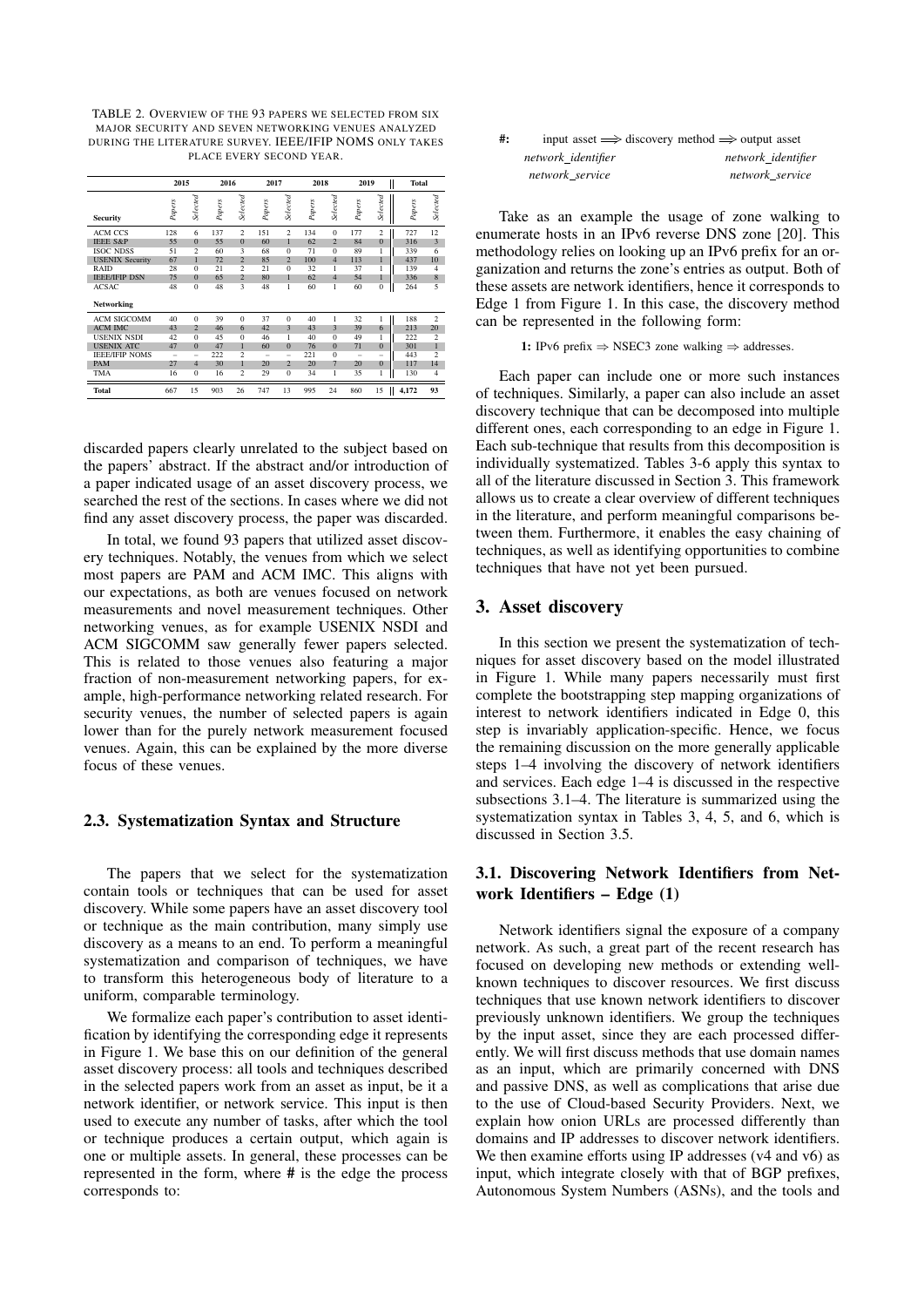<span id="page-3-1"></span>TABLE 2. OVERVIEW OF THE 93 PAPERS WE SELECTED FROM SIX MAJOR SECURITY AND SEVEN NETWORKING VENUES ANALYZED DURING THE LITERATURE SURVEY. IEEE/IFIP NOMS ONLY TAKES PLACE EVERY SECOND YEAR.

|                        | 2015   |                 | 2016   |                | 2017   |                 | 2018   |                | 2019                     | II                       | <b>Total</b> |                |
|------------------------|--------|-----------------|--------|----------------|--------|-----------------|--------|----------------|--------------------------|--------------------------|--------------|----------------|
| <b>Security</b>        | Papers | <b>Selected</b> | Papers | Selected       | Papers | <b>Selected</b> | Papers | Selected       | Papers                   | Selected                 | Papers       | Selected       |
| <b>ACM CCS</b>         | 128    | 6               | 137    | $\overline{c}$ | 151    | $\overline{c}$  | 134    | $\Omega$       | 177                      | $\overline{c}$           | 727          | 12             |
| <b>IEEE S&amp;P</b>    | 55     | $\Omega$        | 55     | $\mathbf{0}$   | 60     | $\mathbf{1}$    | 62     | $\overline{2}$ | 84                       | $\overline{0}$           | 316          | 3              |
| <b>ISOC NDSS</b>       | 51     | $\mathfrak{D}$  | 60     | 3              | 68     | $\Omega$        | 71     | $\Omega$       | 89                       | $\mathbf{1}$             | 339          | 6              |
| <b>USENIX Security</b> | 67     | 1               | 72     | $\overline{2}$ | 85     | $\overline{2}$  | 100    | $\overline{4}$ | 113                      | $\mathbf{1}$             | 437          | 10             |
| RAID                   | 28     | $\Omega$        | 21     | $\overline{2}$ | 21     | $\Omega$        | 32     | 1              | 37                       | 1                        | 139          | 4              |
| <b>IEEE/IFIP DSN</b>   | 75     | $\Omega$        | 65     | $\overline{2}$ | 80     | $\overline{1}$  | 62     | $\overline{4}$ | 54                       | $\mathbf{1}$             | 336          | 8              |
| <b>ACSAC</b>           | 48     | $\overline{0}$  | 48     | 3              | 48     | 1               | 60     | ſ              | 60                       | $\overline{0}$           | 264          | 5              |
| Networking             |        |                 |        |                |        |                 |        |                |                          |                          |              |                |
| <b>ACM SIGCOMM</b>     | 40     | $\Omega$        | 39     | $\overline{0}$ | 37     | $\Omega$        | 40     | 1              | 32                       | 1                        | 188          | $\overline{2}$ |
| <b>ACM IMC</b>         | 43     | $\overline{2}$  | 46     | 6              | 42     | 3               | 43     | 3              | 39                       | 6                        | 213          | 20             |
| <b>USENIX NSDI</b>     | 42     | $\overline{0}$  | 45     | $\overline{0}$ | 46     | 1               | 40     | $\overline{0}$ | 49                       | 1                        | 222          | $\overline{2}$ |
| <b>USENIX ATC</b>      | 47     | $\Omega$        | 47     | 1              | 60     | $\overline{0}$  | 76     | $\Omega$       | 71                       | $\Omega$                 | 301          | 1              |
| <b>IEEE/IFIP NOMS</b>  | -      | -               | 222    | $\overline{c}$ | -      | -               | 221    | $\Omega$       | $\overline{\phantom{a}}$ | $\overline{\phantom{a}}$ | 443          | $\overline{c}$ |
| PAM                    | 27     | $\overline{4}$  | 30     | 1              | 20     | $\overline{2}$  | 20     | 7              | 20                       | $\overline{0}$           | 117          | 14             |
| TMA                    | 16     | $\bf{0}$        | 16     | $\overline{c}$ | 29     | $\bf{0}$        | 34     | 1              | 35                       | 1                        | 130          | 4              |
| Total                  | 667    | 15              | 903    | 26             | 747    | 13              | 995    | 24             | 860                      | 15<br>Ш                  | 4,172        | 93             |

discarded papers clearly unrelated to the subject based on the papers' abstract. If the abstract and/or introduction of a paper indicated usage of an asset discovery process, we searched the rest of the sections. In cases where we did not find any asset discovery process, the paper was discarded.

In total, we found 93 papers that utilized asset discovery techniques. Notably, the venues from which we select most papers are PAM and ACM IMC. This aligns with our expectations, as both are venues focused on network measurements and novel measurement techniques. Other networking venues, as for example USENIX NSDI and ACM SIGCOMM saw generally fewer papers selected. This is related to those venues also featuring a major fraction of non-measurement networking papers, for example, high-performance networking related research. For security venues, the number of selected papers is again lower than for the purely network measurement focused venues. Again, this can be explained by the more diverse focus of these venues.

#### <span id="page-3-2"></span>2.3. Systematization Syntax and Structure

The papers that we select for the systematization contain tools or techniques that can be used for asset discovery. While some papers have an asset discovery tool or technique as the main contribution, many simply use discovery as a means to an end. To perform a meaningful systematization and comparison of techniques, we have to transform this heterogeneous body of literature to a uniform, comparable terminology.

We formalize each paper's contribution to asset identification by identifying the corresponding edge it represents in Figure [1.](#page-2-0) We base this on our definition of the general asset discovery process: all tools and techniques described in the selected papers work from an asset as input, be it a network identifier, or network service. This input is then used to execute any number of tasks, after which the tool or technique produces a certain output, which again is one or multiple assets. In general, these processes can be represented in the form, where # is the edge the process corresponds to:

| #: |                    | input asset $\implies$ discovery method $\implies$ output asset |
|----|--------------------|-----------------------------------------------------------------|
|    | network identifier | network identifier                                              |
|    | network service    | network service                                                 |

Take as an example the usage of zone walking to enumerate hosts in an IPv6 reverse DNS zone [\[20\]](#page-13-5). This methodology relies on looking up an IPv6 prefix for an organization and returns the zone's entries as output. Both of these assets are network identifiers, hence it corresponds to Edge 1 from Figure [1.](#page-2-0) In this case, the discovery method can be represented in the following form:

1: IPv6 prefix  $\Rightarrow$  NSEC3 zone walking  $\Rightarrow$  addresses.

Each paper can include one or more such instances of techniques. Similarly, a paper can also include an asset discovery technique that can be decomposed into multiple different ones, each corresponding to an edge in Figure [1.](#page-2-0) Each sub-technique that results from this decomposition is individually systematized. Tables [3](#page-4-0)[-6](#page-9-0) apply this syntax to all of the literature discussed in Section [3.](#page-3-0) This framework allows us to create a clear overview of different techniques in the literature, and perform meaningful comparisons between them. Furthermore, it enables the easy chaining of techniques, as well as identifying opportunities to combine techniques that have not yet been pursued.

### <span id="page-3-0"></span>3. Asset discovery

In this section we present the systematization of techniques for asset discovery based on the model illustrated in Figure [1.](#page-2-0) While many papers necessarily must first complete the bootstrapping step mapping organizations of interest to network identifiers indicated in Edge 0, this step is invariably application-specific. Hence, we focus the remaining discussion on the more generally applicable steps 1–4 involving the discovery of network identifiers and services. Each edge 1–4 is discussed in the respective subsections [3.](#page-3-0)1–4. The literature is summarized using the systematization syntax in Tables [3,](#page-4-0) [4,](#page-6-0) [5,](#page-9-1) and [6,](#page-9-0) which is discussed in Section [3.5.](#page-9-2)

# 3.1. Discovering Network Identifiers from Network Identifiers – Edge (1)

Network identifiers signal the exposure of a company network. As such, a great part of the recent research has focused on developing new methods or extending wellknown techniques to discover resources. We first discuss techniques that use known network identifiers to discover previously unknown identifiers. We group the techniques by the input asset, since they are each processed differently. We will first discuss methods that use domain names as an input, which are primarily concerned with DNS and passive DNS, as well as complications that arise due to the use of Cloud-based Security Providers. Next, we explain how onion URLs are processed differently than domains and IP addresses to discover network identifiers. We then examine efforts using IP addresses (v4 and v6) as input, which integrate closely with that of BGP prefixes, Autonomous System Numbers (ASNs), and the tools and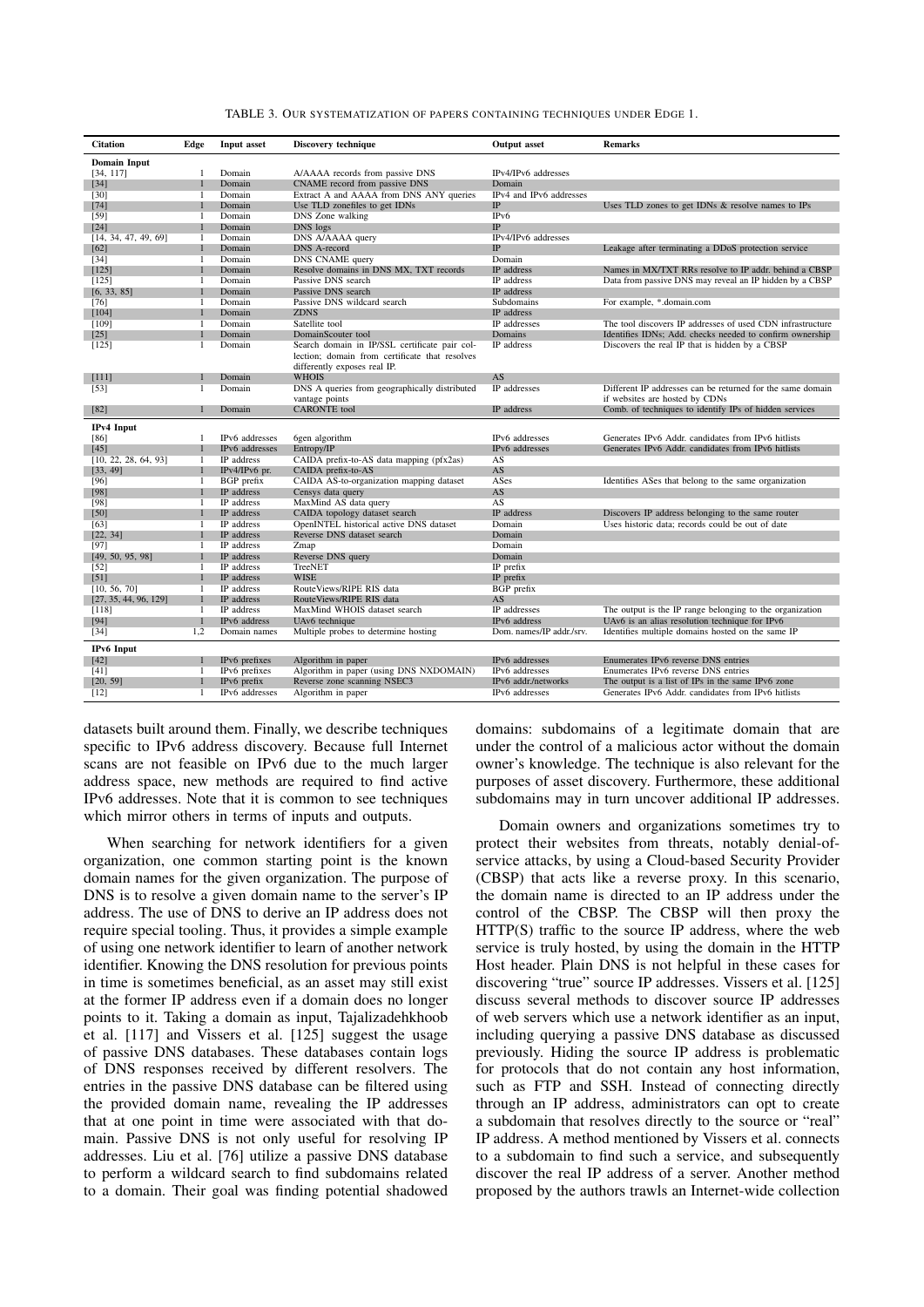| <b>Citation</b>       | Edge         | <b>Input asset</b> | Discovery technique                            | <b>Output</b> asset      | <b>Remarks</b>                                             |
|-----------------------|--------------|--------------------|------------------------------------------------|--------------------------|------------------------------------------------------------|
| <b>Domain Input</b>   |              |                    |                                                |                          |                                                            |
| [34, 117]             | 1            | Domain             | A/AAAA records from passive DNS                | IPv4/IPv6 addresses      |                                                            |
| $[34]$                |              | Domain             | CNAME record from passive DNS                  | Domain                   |                                                            |
| $[30]$                | $\mathbf{1}$ | Domain             | Extract A and AAAA from DNS ANY queries        | IPv4 and IPv6 addresses  |                                                            |
| $[74]$                |              | Domain             | Use TLD zonefiles to get IDNs                  | IP                       | Uses TLD zones to get IDNs & resolve names to IPs          |
| $[59]$                | -1           | Domain             | DNS Zone walking                               | IP <sub>v</sub> 6        |                                                            |
| $[24]$                |              | Domain             | DNS logs                                       | IP                       |                                                            |
| [14, 34, 47, 49, 69]  | $\mathbf{1}$ | Domain             | DNS A/AAAA query                               | IPv4/IPv6 addresses      |                                                            |
| [62]                  |              | Domain             | <b>DNS</b> A-record                            | <b>IP</b>                | Leakage after terminating a DDoS protection service        |
| $[34]$                | -1           | Domain             | DNS CNAME query                                | Domain                   |                                                            |
| [125]                 |              | Domain             | Resolve domains in DNS MX, TXT records         | IP address               | Names in MX/TXT RRs resolve to IP addr. behind a CBSP      |
| [125]                 | -1           | Domain             | Passive DNS search                             | IP address               | Data from passive DNS may reveal an IP hidden by a CBSP    |
| [6, 33, 85]           |              | Domain             | Passive DNS search                             | IP address               |                                                            |
| $[76]$                | 1            | Domain             | Passive DNS wildcard search                    | Subdomains               | For example, *.domain.com                                  |
| [104]                 |              | Domain             | <b>ZDNS</b>                                    | IP address               |                                                            |
| [109]                 | $\mathbf{1}$ | Domain             | Satellite tool                                 | IP addresses             | The tool discovers IP addresses of used CDN infrastructure |
| $[25]$                |              | Domain             | DomainScouter tool                             | Domains                  | Identifies IDNs; Add. checks needed to confirm ownership   |
| [125]                 | 1            | Domain             | Search domain in IP/SSL certificate pair col-  | IP address               | Discovers the real IP that is hidden by a CBSP             |
|                       |              |                    | lection; domain from certificate that resolves |                          |                                                            |
|                       |              |                    | differently exposes real IP.                   |                          |                                                            |
| [111]                 |              | Domain             | <b>WHOIS</b>                                   | AS                       |                                                            |
| $[53]$                | 1            | Domain             | DNS A queries from geographically distributed  | IP addresses             | Different IP addresses can be returned for the same domain |
|                       |              |                    | vantage points                                 |                          | if websites are hosted by CDNs                             |
| $[82]$                | П            | Domain             | <b>CARONTE</b> tool                            | IP address               | Comb. of techniques to identify IPs of hidden services     |
|                       |              |                    |                                                |                          |                                                            |
| IPv4 Input            |              |                    |                                                |                          |                                                            |
| [86]                  | $\mathbf{1}$ | IPv6 addresses     | 6gen algorithm                                 | IPv6 addresses           | Generates IPv6 Addr. candidates from IPv6 hitlists         |
| $[45]$                |              | IPv6 addresses     | Entropy/IP                                     | IPv6 addresses           | Generates IPv6 Addr. candidates from IPv6 hitlists         |
| [10, 22, 28, 64, 93]  | $\mathbf{1}$ | IP address         | CAIDA prefix-to-AS data mapping (pfx2as)       | AS                       |                                                            |
| [33, 49]              |              | $IPv4/IPv6$ pr.    | CAIDA prefix-to-AS                             | AS                       |                                                            |
| [96]                  | $\mathbf{1}$ | <b>BGP</b> prefix  | CAIDA AS-to-organization mapping dataset       | ASes                     | Identifies ASes that belong to the same organization       |
| [98]                  |              | IP address         | Censys data query                              | AS                       |                                                            |
| [98]                  | -1           | IP address         | MaxMind AS data query                          | AS                       |                                                            |
| $[50]$                |              | IP address         | CAIDA topology dataset search                  | IP address               | Discovers IP address belonging to the same router          |
| [63]                  | 1            | IP address         | OpenINTEL historical active DNS dataset        | Domain                   | Uses historic data; records could be out of date           |
| [22, 34]              |              | IP address         | Reverse DNS dataset search                     | Domain                   |                                                            |
| [97]                  | -1           | IP address         | Zmap                                           | Domain                   |                                                            |
| [49, 50, 95, 98]      |              | IP address         | Reverse DNS query                              | Domain                   |                                                            |
| $[52]$                | 1            | IP address         | TreeNET                                        | IP prefix                |                                                            |
| $[51]$                |              | IP address         | <b>WISE</b>                                    | IP prefix                |                                                            |
| [10, 56, 70]          | $\mathbf{1}$ | IP address         | RouteViews/RIPE RIS data                       | BGP prefix               |                                                            |
| [27, 35, 44, 96, 129] |              | IP address         | RouteViews/RIPE RIS data                       | AS                       |                                                            |
| [118]                 | $\mathbf{1}$ | IP address         | MaxMind WHOIS dataset search                   | IP addresses             | The output is the IP range belonging to the organization   |
| $[94]$                | 1            | IPv6 address       | UAv6 technique                                 | IPv6 address             | UAv6 is an alias resolution technique for IPv6             |
| $[34]$                | 1.2          | Domain names       | Multiple probes to determine hosting           | Dom. names/IP addr./srv. | Identifies multiple domains hosted on the same IP          |
|                       |              |                    |                                                |                          |                                                            |
| IPv6 Input            |              |                    |                                                |                          |                                                            |
| $[42]$                |              | IPv6 prefixes      | Algorithm in paper                             | IPv6 addresses           | Enumerates IPv6 reverse DNS entries                        |
| [41]                  | $\mathbf{1}$ | IPv6 prefixes      | Algorithm in paper (using DNS NXDOMAIN)        | IPv6 addresses           | Enumerates IPv6 reverse DNS entries                        |
| [20, 59]              |              | IPv6 prefix        | Reverse zone scanning NSEC3                    | IPv6 addr./networks      | The output is a list of IPs in the same IPv6 zone          |
| $[12]$                | -1           | IPv6 addresses     | Algorithm in paper                             | IPv6 addresses           | Generates IPv6 Addr. candidates from IPv6 hitlists         |

<span id="page-4-0"></span>TABLE 3. OUR SYSTEMATIZATION OF PAPERS CONTAINING TECHNIQUES UNDER EDGE 1.

datasets built around them. Finally, we describe techniques specific to IPv6 address discovery. Because full Internet scans are not feasible on IPv6 due to the much larger address space, new methods are required to find active IPv6 addresses. Note that it is common to see techniques which mirror others in terms of inputs and outputs.

When searching for network identifiers for a given organization, one common starting point is the known domain names for the given organization. The purpose of DNS is to resolve a given domain name to the server's IP address. The use of DNS to derive an IP address does not require special tooling. Thus, it provides a simple example of using one network identifier to learn of another network identifier. Knowing the DNS resolution for previous points in time is sometimes beneficial, as an asset may still exist at the former IP address even if a domain does no longer points to it. Taking a domain as input, Tajalizadehkhoob et al. [\[117\]](#page-16-0) and Vissers et al. [\[125\]](#page-16-1) suggest the usage of passive DNS databases. These databases contain logs of DNS responses received by different resolvers. The entries in the passive DNS database can be filtered using the provided domain name, revealing the IP addresses that at one point in time were associated with that domain. Passive DNS is not only useful for resolving IP addresses. Liu et al. [\[76\]](#page-15-7) utilize a passive DNS database to perform a wildcard search to find subdomains related to a domain. Their goal was finding potential shadowed domains: subdomains of a legitimate domain that are under the control of a malicious actor without the domain owner's knowledge. The technique is also relevant for the purposes of asset discovery. Furthermore, these additional subdomains may in turn uncover additional IP addresses.

Domain owners and organizations sometimes try to protect their websites from threats, notably denial-ofservice attacks, by using a Cloud-based Security Provider (CBSP) that acts like a reverse proxy. In this scenario, the domain name is directed to an IP address under the control of the CBSP. The CBSP will then proxy the HTTP(S) traffic to the source IP address, where the web service is truly hosted, by using the domain in the HTTP Host header. Plain DNS is not helpful in these cases for discovering "true" source IP addresses. Vissers et al. [\[125\]](#page-16-1) discuss several methods to discover source IP addresses of web servers which use a network identifier as an input, including querying a passive DNS database as discussed previously. Hiding the source IP address is problematic for protocols that do not contain any host information, such as FTP and SSH. Instead of connecting directly through an IP address, administrators can opt to create a subdomain that resolves directly to the source or "real" IP address. A method mentioned by Vissers et al. connects to a subdomain to find such a service, and subsequently discover the real IP address of a server. Another method proposed by the authors trawls an Internet-wide collection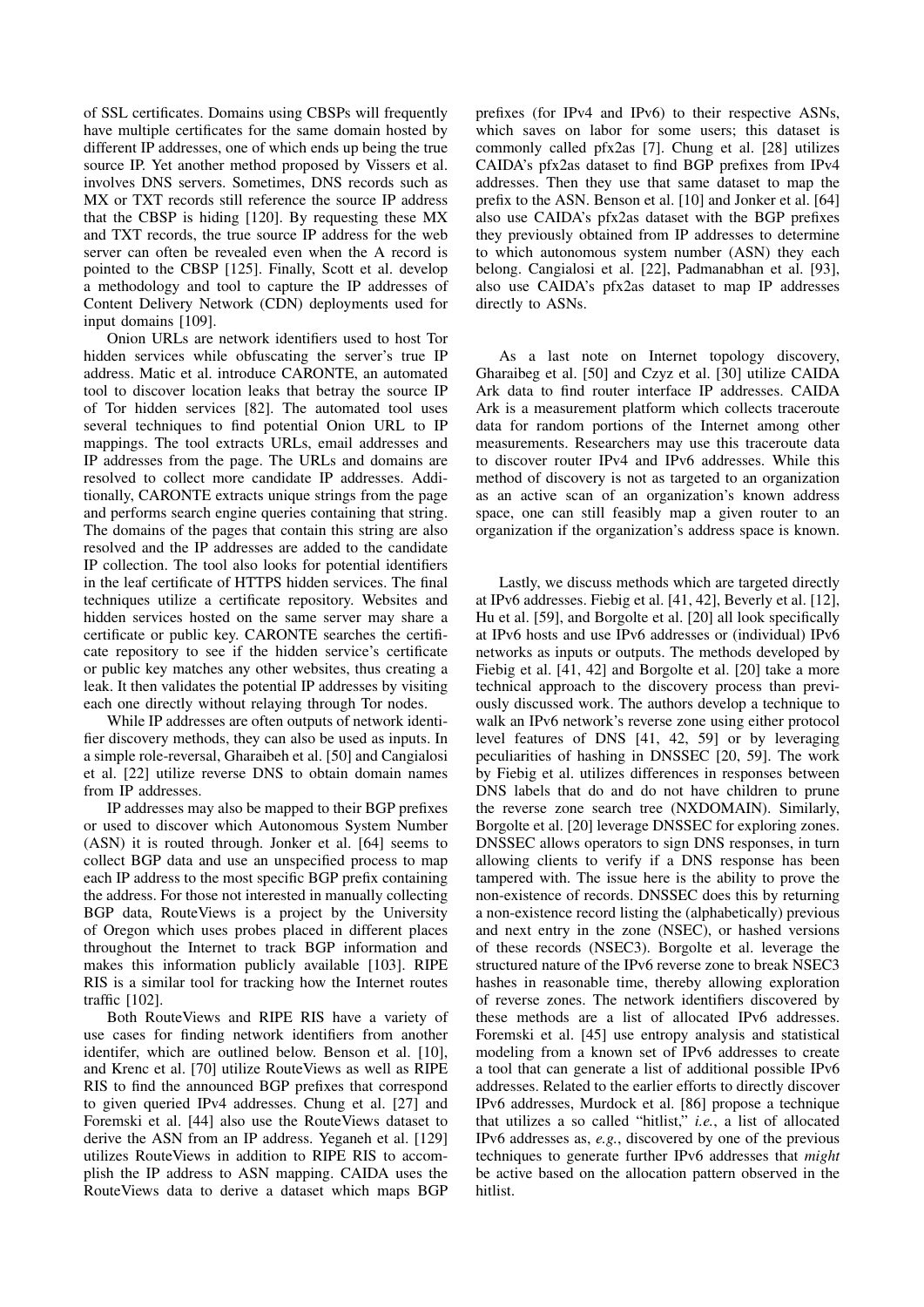of SSL certificates. Domains using CBSPs will frequently have multiple certificates for the same domain hosted by different IP addresses, one of which ends up being the true source IP. Yet another method proposed by Vissers et al. involves DNS servers. Sometimes, DNS records such as MX or TXT records still reference the source IP address that the CBSP is hiding [\[120\]](#page-16-7). By requesting these MX and TXT records, the true source IP address for the web server can often be revealed even when the A record is pointed to the CBSP [\[125\]](#page-16-1). Finally, Scott et al. develop a methodology and tool to capture the IP addresses of Content Delivery Network (CDN) deployments used for input domains [\[109\]](#page-16-3).

Onion URLs are network identifiers used to host Tor hidden services while obfuscating the server's true IP address. Matic et al. introduce CARONTE, an automated tool to discover location leaks that betray the source IP of Tor hidden services [\[82\]](#page-15-8). The automated tool uses several techniques to find potential Onion URL to IP mappings. The tool extracts URLs, email addresses and IP addresses from the page. The URLs and domains are resolved to collect more candidate IP addresses. Additionally, CARONTE extracts unique strings from the page and performs search engine queries containing that string. The domains of the pages that contain this string are also resolved and the IP addresses are added to the candidate IP collection. The tool also looks for potential identifiers in the leaf certificate of HTTPS hidden services. The final techniques utilize a certificate repository. Websites and hidden services hosted on the same server may share a certificate or public key. CARONTE searches the certificate repository to see if the hidden service's certificate or public key matches any other websites, thus creating a leak. It then validates the potential IP addresses by visiting each one directly without relaying through Tor nodes.

While IP addresses are often outputs of network identifier discovery methods, they can also be used as inputs. In a simple role-reversal, Gharaibeh et al. [\[50\]](#page-14-9) and Cangialosi et al. [\[22\]](#page-13-13) utilize reverse DNS to obtain domain names from IP addresses.

IP addresses may also be mapped to their BGP prefixes or used to discover which Autonomous System Number (ASN) it is routed through. Jonker et al. [\[64\]](#page-14-8) seems to collect BGP data and use an unspecified process to map each IP address to the most specific BGP prefix containing the address. For those not interested in manually collecting BGP data, RouteViews is a project by the University of Oregon which uses probes placed in different places throughout the Internet to track BGP information and makes this information publicly available [\[103\]](#page-15-16). RIPE RIS is a similar tool for tracking how the Internet routes traffic [\[102\]](#page-15-17).

Both RouteViews and RIPE RIS have a variety of use cases for finding network identifiers from another identifer, which are outlined below. Benson et al. [\[10\]](#page-13-12), and Krenc et al. [\[70\]](#page-15-2) utilize RouteViews as well as RIPE RIS to find the announced BGP prefixes that correspond to given queried IPv4 addresses. Chung et al. [\[27\]](#page-13-15) and Foremski et al. [\[44\]](#page-14-15) also use the RouteViews dataset to derive the ASN from an IP address. Yeganeh et al. [\[129\]](#page-16-5) utilizes RouteViews in addition to RIPE RIS to accomplish the IP address to ASN mapping. CAIDA uses the RouteViews data to derive a dataset which maps BGP

prefixes (for IPv4 and IPv6) to their respective ASNs, which saves on labor for some users; this dataset is commonly called pfx2as [\[7\]](#page-13-17). Chung et al. [\[28\]](#page-13-14) utilizes CAIDA's pfx2as dataset to find BGP prefixes from IPv4 addresses. Then they use that same dataset to map the prefix to the ASN. Benson et al. [\[10\]](#page-13-12) and Jonker et al. [\[64\]](#page-14-8) also use CAIDA's pfx2as dataset with the BGP prefixes they previously obtained from IP addresses to determine to which autonomous system number (ASN) they each belong. Cangialosi et al. [\[22\]](#page-13-13), Padmanabhan et al. [\[93\]](#page-15-10), also use CAIDA's pfx2as dataset to map IP addresses directly to ASNs.

As a last note on Internet topology discovery, Gharaibeg et al. [\[50\]](#page-14-9) and Czyz et al. [\[30\]](#page-13-6) utilize CAIDA Ark data to find router interface IP addresses. CAIDA Ark is a measurement platform which collects traceroute data for random portions of the Internet among other measurements. Researchers may use this traceroute data to discover router IPv4 and IPv6 addresses. While this method of discovery is not as targeted to an organization as an active scan of an organization's known address space, one can still feasibly map a given router to an organization if the organization's address space is known.

Lastly, we discuss methods which are targeted directly at IPv6 addresses. Fiebig et al. [\[41,](#page-14-17) [42\]](#page-14-16), Beverly et al. [\[12\]](#page-13-16), Hu et al. [\[59\]](#page-14-1), and Borgolte et al. [\[20\]](#page-13-5) all look specifically at IPv6 hosts and use IPv6 addresses or (individual) IPv6 networks as inputs or outputs. The methods developed by Fiebig et al. [\[41,](#page-14-17) [42\]](#page-14-16) and Borgolte et al. [\[20\]](#page-13-5) take a more technical approach to the discovery process than previously discussed work. The authors develop a technique to walk an IPv6 network's reverse zone using either protocol level features of DNS [\[41,](#page-14-17) [42,](#page-14-16) [59\]](#page-14-1) or by leveraging peculiarities of hashing in DNSSEC [\[20,](#page-13-5) [59\]](#page-14-1). The work by Fiebig et al. utilizes differences in responses between DNS labels that do and do not have children to prune the reverse zone search tree (NXDOMAIN). Similarly, Borgolte et al. [\[20\]](#page-13-5) leverage DNSSEC for exploring zones. DNSSEC allows operators to sign DNS responses, in turn allowing clients to verify if a DNS response has been tampered with. The issue here is the ability to prove the non-existence of records. DNSSEC does this by returning a non-existence record listing the (alphabetically) previous and next entry in the zone (NSEC), or hashed versions of these records (NSEC3). Borgolte et al. leverage the structured nature of the IPv6 reverse zone to break NSEC3 hashes in reasonable time, thereby allowing exploration of reverse zones. The network identifiers discovered by these methods are a list of allocated IPv6 addresses. Foremski et al. [\[45\]](#page-14-7) use entropy analysis and statistical modeling from a known set of IPv6 addresses to create a tool that can generate a list of additional possible IPv6 addresses. Related to the earlier efforts to directly discover IPv6 addresses, Murdock et al. [\[86\]](#page-15-9) propose a technique that utilizes a so called "hitlist," *i.e.*, a list of allocated IPv6 addresses as, *e.g.*, discovered by one of the previous techniques to generate further IPv6 addresses that *might* be active based on the allocation pattern observed in the hitlist.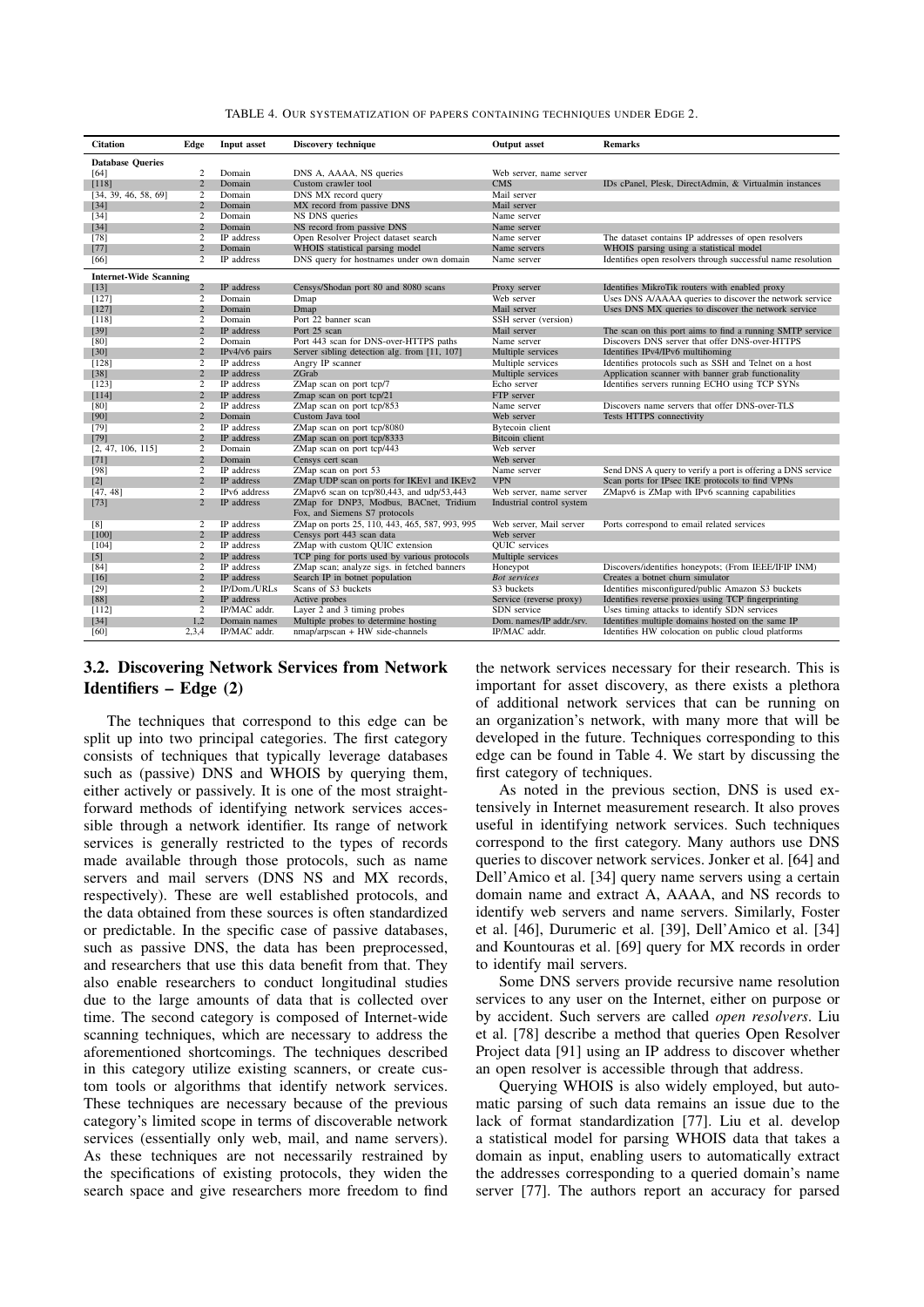<span id="page-6-0"></span>

|  | TABLE 4. OUR SYSTEMATIZATION OF PAPERS CONTAINING TECHNIQUES UNDER EDGE 2. |  |  |
|--|----------------------------------------------------------------------------|--|--|
|--|----------------------------------------------------------------------------|--|--|

| <b>Citation</b>               | Edge           | <b>Input asset</b> | Discovery technique                                                     | <b>Output</b> asset       | <b>Remarks</b>                                               |
|-------------------------------|----------------|--------------------|-------------------------------------------------------------------------|---------------------------|--------------------------------------------------------------|
| <b>Database Queries</b>       |                |                    |                                                                         |                           |                                                              |
| [64]                          | 2              | Domain             | DNS A, AAAA, NS queries                                                 | Web server, name server   |                                                              |
| $[118]$                       | $\overline{2}$ | Domain             | Custom crawler tool                                                     | <b>CMS</b>                | IDs cPanel, Plesk, DirectAdmin, & Virtualmin instances       |
| [34, 39, 46, 58, 69]          | $\overline{2}$ | Domain             | DNS MX record query                                                     | Mail server               |                                                              |
| $[34]$                        | $\overline{2}$ | Domain             | MX record from passive DNS                                              | Mail server               |                                                              |
| $[34]$                        | 2              | Domain             | NS DNS queries                                                          | Name server               |                                                              |
| $[34]$                        | $\overline{2}$ | Domain             | NS record from passive DNS                                              | Name server               |                                                              |
| $[78]$                        | 2              | IP address         | Open Resolver Project dataset search                                    | Name server               | The dataset contains IP addresses of open resolvers          |
| $[77]$                        | $\overline{2}$ | Domain             | WHOIS statistical parsing model                                         | Name servers              | WHOIS parsing using a statistical model                      |
| [66]                          | 2              | IP address         | DNS query for hostnames under own domain                                | Name server               | Identifies open resolvers through successful name resolution |
| <b>Internet-Wide Scanning</b> |                |                    |                                                                         |                           |                                                              |
| $[13]$                        | $\overline{c}$ | IP address         | Censys/Shodan port 80 and 8080 scans                                    | Proxy server              | Identifies MikroTik routers with enabled proxy               |
| [127]                         | 2              | Domain             | Dmap                                                                    | Web server                | Uses DNS A/AAAA queries to discover the network service      |
| [127]                         | $\overline{2}$ | Domain             | Dmap                                                                    | Mail server               | Uses DNS MX queries to discover the network service          |
| [118]                         | $\overline{2}$ | Domain             | Port 22 banner scan                                                     | SSH server (version)      |                                                              |
| $[39]$                        | $\overline{2}$ | <b>IP</b> address  | Port 25 scan                                                            | Mail server               | The scan on this port aims to find a running SMTP service    |
| [80]                          | $\overline{2}$ | Domain             | Port 443 scan for DNS-over-HTTPS paths                                  | Name server               | Discovers DNS server that offer DNS-over-HTTPS               |
| $[30]$                        | $\overline{c}$ | IPv4/v6 pairs      | Server sibling detection alg. from [11, 107]                            | Multiple services         | Identifies IPv4/IPv6 multihoming                             |
| [128]                         | $\overline{2}$ | IP address         | Angry IP scanner                                                        | Multiple services         | Identifies protocols such as SSH and Telnet on a host        |
| $[38]$                        | $\overline{2}$ | IP address         | ZGrab                                                                   | Multiple services         | Application scanner with banner grab functionality           |
| [123]                         | 2              | IP address         | ZMap scan on port tcp/7                                                 | Echo server               | Identifies servers running ECHO using TCP SYNs               |
| [114]                         | $\overline{2}$ | IP address         | Zmap scan on port tcp/21                                                | FTP server                |                                                              |
| [80]                          | 2              | IP address         | ZMap scan on port tcp/853                                               | Name server               | Discovers name servers that offer DNS-over-TLS               |
| [90]                          | $\overline{c}$ | Domain             | Custom Java tool                                                        | Web server                | Tests HTTPS connectivity                                     |
| $[79]$                        | 2              | IP address         | ZMap scan on port tcp/8080                                              | <b>Bytecoin</b> client    |                                                              |
| $[79]$                        | $\overline{2}$ | IP address         | ZMap scan on port tcp/8333                                              | Bitcoin client            |                                                              |
| [2, 47, 106, 115]             | 2              | Domain             | ZMap scan on port tcp/443                                               | Web server                |                                                              |
| $[71]$                        | $\overline{2}$ | Domain             | Censys cert scan                                                        | Web server                |                                                              |
| [98]                          | 2              | IP address         | ZMap scan on port 53                                                    | Name server               | Send DNS A query to verify a port is offering a DNS service  |
| $[2]$                         | $\overline{2}$ | IP address         | ZMap UDP scan on ports for IKEv1 and IKEv2                              | <b>VPN</b>                | Scan ports for IPsec IKE protocols to find VPNs              |
| [47, 48]                      | $\overline{2}$ | IPv6 address       | ZMapv6 scan on tcp/80,443, and udp/53,443                               | Web server, name server   | ZMapv6 is ZMap with IPv6 scanning capabilities               |
| $[73]$                        | $\overline{2}$ | IP address         | ZMap for DNP3, Modbus, BACnet, Tridium<br>Fox, and Siemens S7 protocols | Industrial control system |                                                              |
| [8]                           | 2              | IP address         | ZMap on ports 25, 110, 443, 465, 587, 993, 995                          | Web server, Mail server   | Ports correspond to email related services                   |
| [100]                         | $\overline{2}$ | IP address         | Censys port 443 scan data                                               | Web server                |                                                              |
| [104]                         | 2              | IP address         | ZMap with custom QUIC extension                                         | <b>OUIC</b> services      |                                                              |
| $[5]$                         | $\overline{c}$ | IP address         | TCP ping for ports used by various protocols                            | Multiple services         |                                                              |
| $[84]$                        | 2              | IP address         | ZMap scan; analyze sigs. in fetched banners                             | Honeypot                  | Discovers/identifies honeypots; (From IEEE/IFIP INM)         |
| $[16]$                        | $\overline{2}$ | IP address         | Search IP in botnet population                                          | <b>Bot services</b>       | Creates a botnet churn simulator                             |
| $[29]$                        | 2              | IP/Dom./URLs       | Scans of S3 buckets                                                     | S3 buckets                | Identifies misconfigured/public Amazon S3 buckets            |
| $[88]$                        | $\overline{c}$ | IP address         | Active probes                                                           | Service (reverse proxy)   | Identifies reverse proxies using TCP fingerprinting          |
| [112]                         | 2              | IP/MAC addr.       | Layer $2$ and $3$ timing probes                                         | SDN service               | Uses timing attacks to identify SDN services                 |
| $[34]$                        | 1,2            | Domain names       | Multiple probes to determine hosting                                    | Dom. names/IP addr./srv.  | Identifies multiple domains hosted on the same IP            |
| [60]                          | 2,3,4          | IP/MAC addr.       | $nmap/argscan + HW$ side-channels                                       | IP/MAC addr.              | Identifies HW colocation on public cloud platforms           |

## 3.2. Discovering Network Services from Network Identifiers – Edge (2)

The techniques that correspond to this edge can be split up into two principal categories. The first category consists of techniques that typically leverage databases such as (passive) DNS and WHOIS by querying them, either actively or passively. It is one of the most straightforward methods of identifying network services accessible through a network identifier. Its range of network services is generally restricted to the types of records made available through those protocols, such as name servers and mail servers (DNS NS and MX records, respectively). These are well established protocols, and the data obtained from these sources is often standardized or predictable. In the specific case of passive databases, such as passive DNS, the data has been preprocessed, and researchers that use this data benefit from that. They also enable researchers to conduct longitudinal studies due to the large amounts of data that is collected over time. The second category is composed of Internet-wide scanning techniques, which are necessary to address the aforementioned shortcomings. The techniques described in this category utilize existing scanners, or create custom tools or algorithms that identify network services. These techniques are necessary because of the previous category's limited scope in terms of discoverable network services (essentially only web, mail, and name servers). As these techniques are not necessarily restrained by the specifications of existing protocols, they widen the search space and give researchers more freedom to find

the network services necessary for their research. This is important for asset discovery, as there exists a plethora of additional network services that can be running on an organization's network, with many more that will be developed in the future. Techniques corresponding to this edge can be found in Table [4.](#page-6-0) We start by discussing the first category of techniques.

As noted in the previous section, DNS is used extensively in Internet measurement research. It also proves useful in identifying network services. Such techniques correspond to the first category. Many authors use DNS queries to discover network services. Jonker et al. [\[64\]](#page-14-8) and Dell'Amico et al. [\[34\]](#page-14-0) query name servers using a certain domain name and extract A, AAAA, and NS records to identify web servers and name servers. Similarly, Foster et al. [\[46\]](#page-14-19), Durumeric et al. [\[39\]](#page-14-18), Dell'Amico et al. [\[34\]](#page-14-0) and Kountouras et al. [\[69\]](#page-14-4) query for MX records in order to identify mail servers.

Some DNS servers provide recursive name resolution services to any user on the Internet, either on purpose or by accident. Such servers are called *open resolvers*. Liu et al. [\[78\]](#page-15-3) describe a method that queries Open Resolver Project data [\[91\]](#page-15-27) using an IP address to discover whether an open resolver is accessible through that address.

Querying WHOIS is also widely employed, but automatic parsing of such data remains an issue due to the lack of format standardization [\[77\]](#page-15-18). Liu et al. develop a statistical model for parsing WHOIS data that takes a domain as input, enabling users to automatically extract the addresses corresponding to a queried domain's name server [\[77\]](#page-15-18). The authors report an accuracy for parsed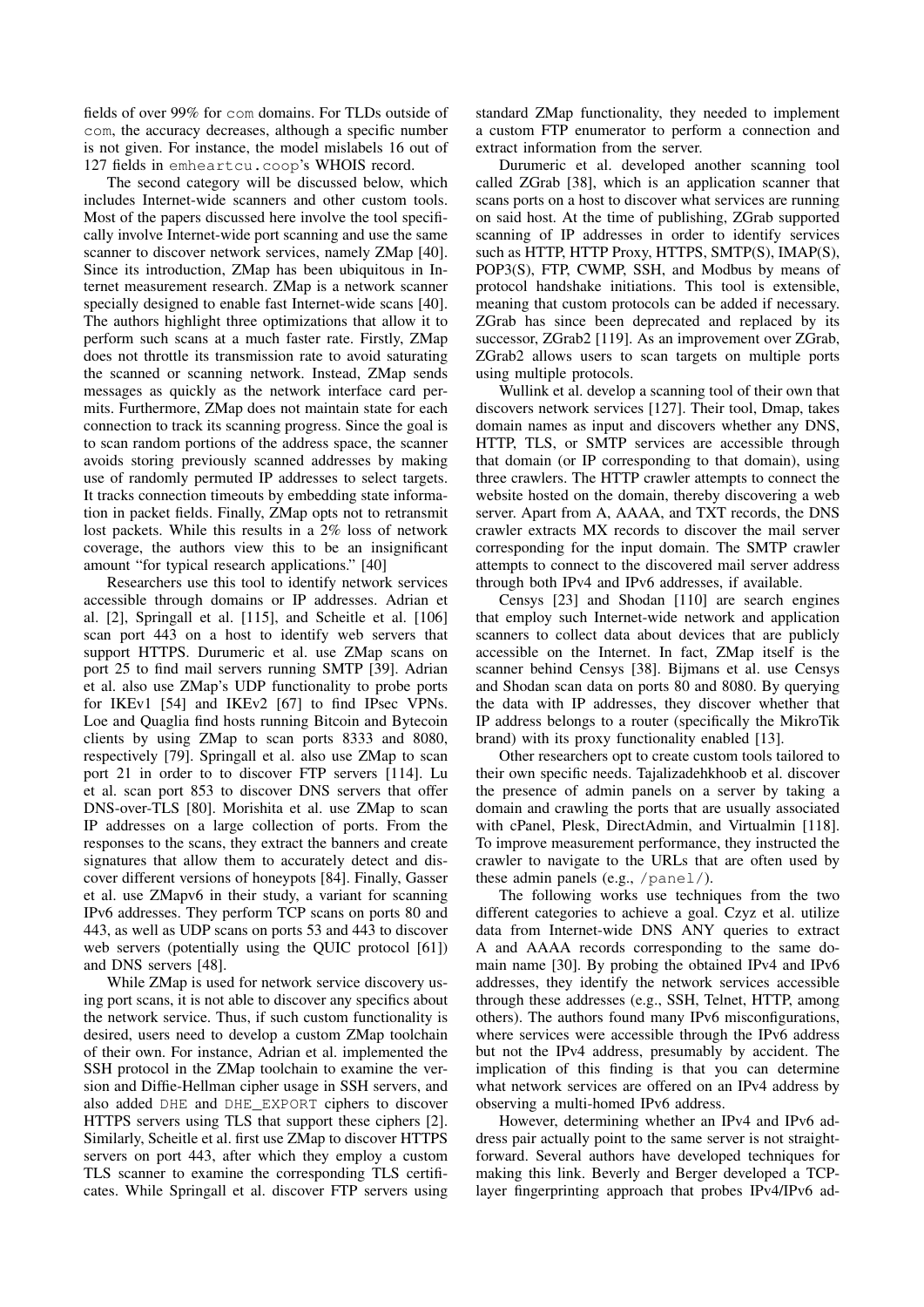fields of over 99% for com domains. For TLDs outside of com, the accuracy decreases, although a specific number is not given. For instance, the model mislabels 16 out of 127 fields in emheartcu.coop's WHOIS record.

The second category will be discussed below, which includes Internet-wide scanners and other custom tools. Most of the papers discussed here involve the tool specifically involve Internet-wide port scanning and use the same scanner to discover network services, namely ZMap [\[40\]](#page-14-25). Since its introduction, ZMap has been ubiquitous in Internet measurement research. ZMap is a network scanner specially designed to enable fast Internet-wide scans [\[40\]](#page-14-25). The authors highlight three optimizations that allow it to perform such scans at a much faster rate. Firstly, ZMap does not throttle its transmission rate to avoid saturating the scanned or scanning network. Instead, ZMap sends messages as quickly as the network interface card permits. Furthermore, ZMap does not maintain state for each connection to track its scanning progress. Since the goal is to scan random portions of the address space, the scanner avoids storing previously scanned addresses by making use of randomly permuted IP addresses to select targets. It tracks connection timeouts by embedding state information in packet fields. Finally, ZMap opts not to retransmit lost packets. While this results in a 2% loss of network coverage, the authors view this to be an insignificant amount "for typical research applications." [\[40\]](#page-14-25)

Researchers use this tool to identify network services accessible through domains or IP addresses. Adrian et al. [\[2\]](#page-13-20), Springall et al. [\[115\]](#page-16-14), and Scheitle et al. [\[106\]](#page-16-13) scan port 443 on a host to identify web servers that support HTTPS. Durumeric et al. use ZMap scans on port 25 to find mail servers running SMTP [\[39\]](#page-14-18). Adrian et al. also use ZMap's UDP functionality to probe ports for IKEv1 [\[54\]](#page-14-26) and IKEv2 [\[67\]](#page-14-27) to find IPsec VPNs. Loe and Quaglia find hosts running Bitcoin and Bytecoin clients by using ZMap to scan ports 8333 and 8080, respectively [\[79\]](#page-15-21). Springall et al. also use ZMap to scan port 21 in order to to discover FTP servers [\[114\]](#page-16-12). Lu et al. scan port 853 to discover DNS servers that offer DNS-over-TLS [\[80\]](#page-15-19). Morishita et al. use ZMap to scan IP addresses on a large collection of ports. From the responses to the scans, they extract the banners and create signatures that allow them to accurately detect and discover different versions of honeypots [\[84\]](#page-15-25). Finally, Gasser et al. use ZMapv6 in their study, a variant for scanning IPv6 addresses. They perform TCP scans on ports 80 and 443, as well as UDP scans on ports 53 and 443 to discover web servers (potentially using the QUIC protocol [\[61\]](#page-14-28)) and DNS servers [\[48\]](#page-14-23).

While ZMap is used for network service discovery using port scans, it is not able to discover any specifics about the network service. Thus, if such custom functionality is desired, users need to develop a custom ZMap toolchain of their own. For instance, Adrian et al. implemented the SSH protocol in the ZMap toolchain to examine the version and Diffie-Hellman cipher usage in SSH servers, and also added DHE and DHE\_EXPORT ciphers to discover HTTPS servers using TLS that support these ciphers [\[2\]](#page-13-20). Similarly, Scheitle et al. first use ZMap to discover HTTPS servers on port 443, after which they employ a custom TLS scanner to examine the corresponding TLS certificates. While Springall et al. discover FTP servers using

standard ZMap functionality, they needed to implement a custom FTP enumerator to perform a connection and extract information from the server.

Durumeric et al. developed another scanning tool called ZGrab [\[38\]](#page-14-22), which is an application scanner that scans ports on a host to discover what services are running on said host. At the time of publishing, ZGrab supported scanning of IP addresses in order to identify services such as HTTP, HTTP Proxy, HTTPS, SMTP(S), IMAP(S), POP3(S), FTP, CWMP, SSH, and Modbus by means of protocol handshake initiations. This tool is extensible, meaning that custom protocols can be added if necessary. ZGrab has since been deprecated and replaced by its successor, ZGrab<sub>2</sub> [\[119\]](#page-16-16). As an improvement over ZGrab, ZGrab2 allows users to scan targets on multiple ports using multiple protocols.

Wullink et al. develop a scanning tool of their own that discovers network services [\[127\]](#page-16-8). Their tool, Dmap, takes domain names as input and discovers whether any DNS, HTTP, TLS, or SMTP services are accessible through that domain (or IP corresponding to that domain), using three crawlers. The HTTP crawler attempts to connect the website hosted on the domain, thereby discovering a web server. Apart from A, AAAA, and TXT records, the DNS crawler extracts MX records to discover the mail server corresponding for the input domain. The SMTP crawler attempts to connect to the discovered mail server address through both IPv4 and IPv6 addresses, if available.

Censys [\[23\]](#page-13-25) and Shodan [\[110\]](#page-16-17) are search engines that employ such Internet-wide network and application scanners to collect data about devices that are publicly accessible on the Internet. In fact, ZMap itself is the scanner behind Censys [\[38\]](#page-14-22). Bijmans et al. use Censys and Shodan scan data on ports 80 and 8080. By querying the data with IP addresses, they discover whether that IP address belongs to a router (specifically the MikroTik brand) with its proxy functionality enabled [\[13\]](#page-13-18).

Other researchers opt to create custom tools tailored to their own specific needs. Tajalizadehkhoob et al. discover the presence of admin panels on a server by taking a domain and crawling the ports that are usually associated with cPanel, Plesk, DirectAdmin, and Virtualmin [\[118\]](#page-16-6). To improve measurement performance, they instructed the crawler to navigate to the URLs that are often used by these admin panels (e.g., /panel/).

The following works use techniques from the two different categories to achieve a goal. Czyz et al. utilize data from Internet-wide DNS ANY queries to extract A and AAAA records corresponding to the same domain name [\[30\]](#page-13-6). By probing the obtained IPv4 and IPv6 addresses, they identify the network services accessible through these addresses (e.g., SSH, Telnet, HTTP, among others). The authors found many IPv6 misconfigurations, where services were accessible through the IPv6 address but not the IPv4 address, presumably by accident. The implication of this finding is that you can determine what network services are offered on an IPv4 address by observing a multi-homed IPv6 address.

However, determining whether an IPv4 and IPv6 address pair actually point to the same server is not straightforward. Several authors have developed techniques for making this link. Beverly and Berger developed a TCPlayer fingerprinting approach that probes IPv4/IPv6 ad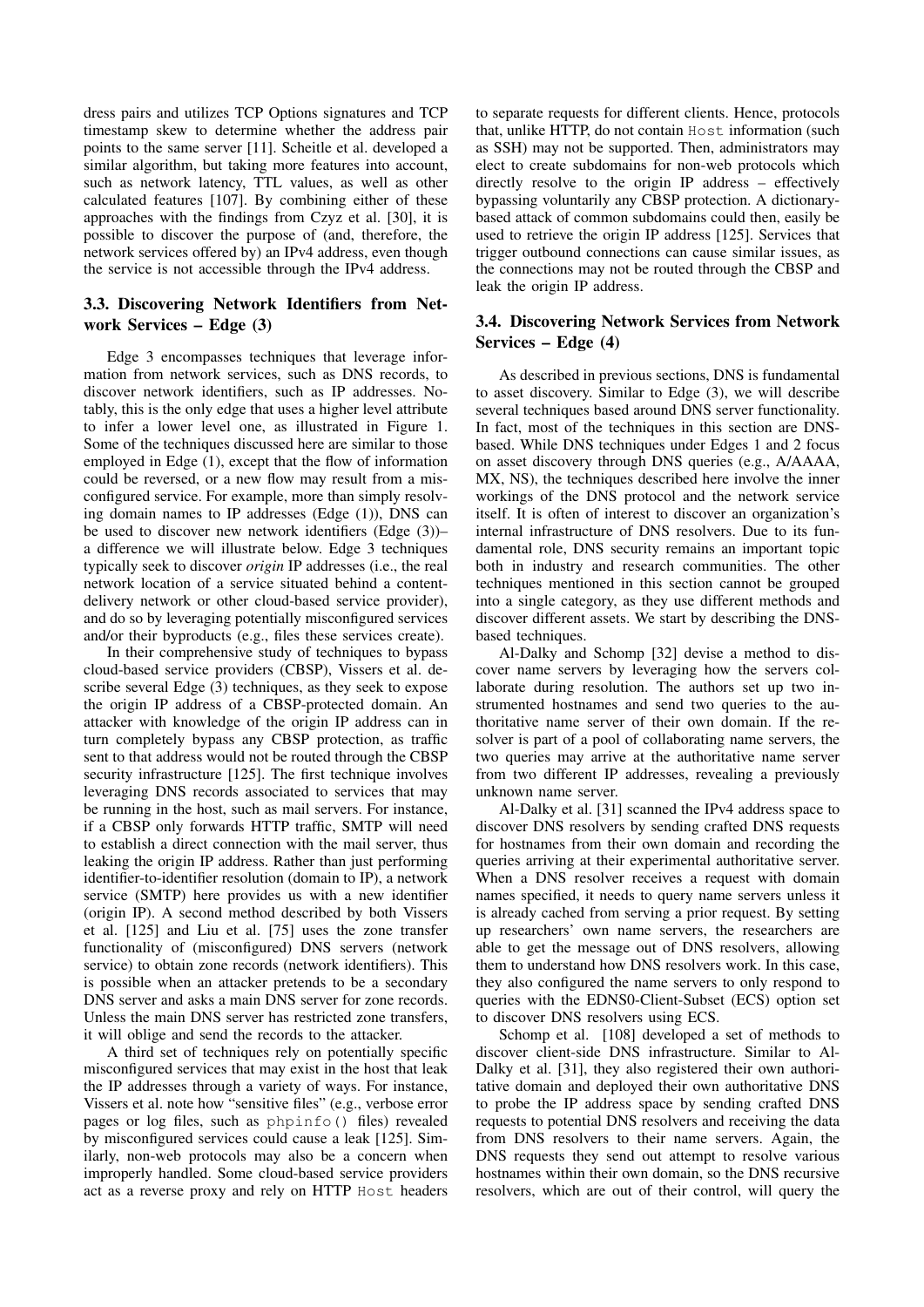dress pairs and utilizes TCP Options signatures and TCP timestamp skew to determine whether the address pair points to the same server [\[11\]](#page-13-19). Scheitle et al. developed a similar algorithm, but taking more features into account, such as network latency, TTL values, as well as other calculated features [\[107\]](#page-16-9). By combining either of these approaches with the findings from Czyz et al. [\[30\]](#page-13-6), it is possible to discover the purpose of (and, therefore, the network services offered by) an IPv4 address, even though the service is not accessible through the IPv4 address.

# 3.3. Discovering Network Identifiers from Network Services – Edge (3)

Edge 3 encompasses techniques that leverage information from network services, such as DNS records, to discover network identifiers, such as IP addresses. Notably, this is the only edge that uses a higher level attribute to infer a lower level one, as illustrated in Figure [1.](#page-2-0) Some of the techniques discussed here are similar to those employed in Edge (1), except that the flow of information could be reversed, or a new flow may result from a misconfigured service. For example, more than simply resolving domain names to IP addresses (Edge (1)), DNS can be used to discover new network identifiers (Edge (3))– a difference we will illustrate below. Edge 3 techniques typically seek to discover *origin* IP addresses (i.e., the real network location of a service situated behind a contentdelivery network or other cloud-based service provider), and do so by leveraging potentially misconfigured services and/or their byproducts (e.g., files these services create).

In their comprehensive study of techniques to bypass cloud-based service providers (CBSP), Vissers et al. describe several Edge (3) techniques, as they seek to expose the origin IP address of a CBSP-protected domain. An attacker with knowledge of the origin IP address can in turn completely bypass any CBSP protection, as traffic sent to that address would not be routed through the CBSP security infrastructure [\[125\]](#page-16-1). The first technique involves leveraging DNS records associated to services that may be running in the host, such as mail servers. For instance, if a CBSP only forwards HTTP traffic, SMTP will need to establish a direct connection with the mail server, thus leaking the origin IP address. Rather than just performing identifier-to-identifier resolution (domain to IP), a network service (SMTP) here provides us with a new identifier (origin IP). A second method described by both Vissers et al. [\[125\]](#page-16-1) and Liu et al. [\[75\]](#page-15-28) uses the zone transfer functionality of (misconfigured) DNS servers (network service) to obtain zone records (network identifiers). This is possible when an attacker pretends to be a secondary DNS server and asks a main DNS server for zone records. Unless the main DNS server has restricted zone transfers, it will oblige and send the records to the attacker.

A third set of techniques rely on potentially specific misconfigured services that may exist in the host that leak the IP addresses through a variety of ways. For instance, Vissers et al. note how "sensitive files" (e.g., verbose error pages or log files, such as phpinfo() files) revealed by misconfigured services could cause a leak [\[125\]](#page-16-1). Similarly, non-web protocols may also be a concern when improperly handled. Some cloud-based service providers act as a reverse proxy and rely on HTTP Host headers to separate requests for different clients. Hence, protocols that, unlike HTTP, do not contain Host information (such as SSH) may not be supported. Then, administrators may elect to create subdomains for non-web protocols which directly resolve to the origin IP address – effectively bypassing voluntarily any CBSP protection. A dictionarybased attack of common subdomains could then, easily be used to retrieve the origin IP address [\[125\]](#page-16-1). Services that trigger outbound connections can cause similar issues, as the connections may not be routed through the CBSP and leak the origin IP address.

## 3.4. Discovering Network Services from Network Services – Edge (4)

As described in previous sections, DNS is fundamental to asset discovery. Similar to Edge (3), we will describe several techniques based around DNS server functionality. In fact, most of the techniques in this section are DNSbased. While DNS techniques under Edges 1 and 2 focus on asset discovery through DNS queries (e.g., A/AAAA, MX, NS), the techniques described here involve the inner workings of the DNS protocol and the network service itself. It is often of interest to discover an organization's internal infrastructure of DNS resolvers. Due to its fundamental role, DNS security remains an important topic both in industry and research communities. The other techniques mentioned in this section cannot be grouped into a single category, as they use different methods and discover different assets. We start by describing the DNSbased techniques.

Al-Dalky and Schomp [\[32\]](#page-13-26) devise a method to discover name servers by leveraging how the servers collaborate during resolution. The authors set up two instrumented hostnames and send two queries to the authoritative name server of their own domain. If the resolver is part of a pool of collaborating name servers, the two queries may arrive at the authoritative name server from two different IP addresses, revealing a previously unknown name server.

Al-Dalky et al. [\[31\]](#page-13-27) scanned the IPv4 address space to discover DNS resolvers by sending crafted DNS requests for hostnames from their own domain and recording the queries arriving at their experimental authoritative server. When a DNS resolver receives a request with domain names specified, it needs to query name servers unless it is already cached from serving a prior request. By setting up researchers' own name servers, the researchers are able to get the message out of DNS resolvers, allowing them to understand how DNS resolvers work. In this case, they also configured the name servers to only respond to queries with the EDNS0-Client-Subset (ECS) option set to discover DNS resolvers using ECS.

Schomp et al. [\[108\]](#page-16-18) developed a set of methods to discover client-side DNS infrastructure. Similar to Al-Dalky et al. [\[31\]](#page-13-27), they also registered their own authoritative domain and deployed their own authoritative DNS to probe the IP address space by sending crafted DNS requests to potential DNS resolvers and receiving the data from DNS resolvers to their name servers. Again, the DNS requests they send out attempt to resolve various hostnames within their own domain, so the DNS recursive resolvers, which are out of their control, will query the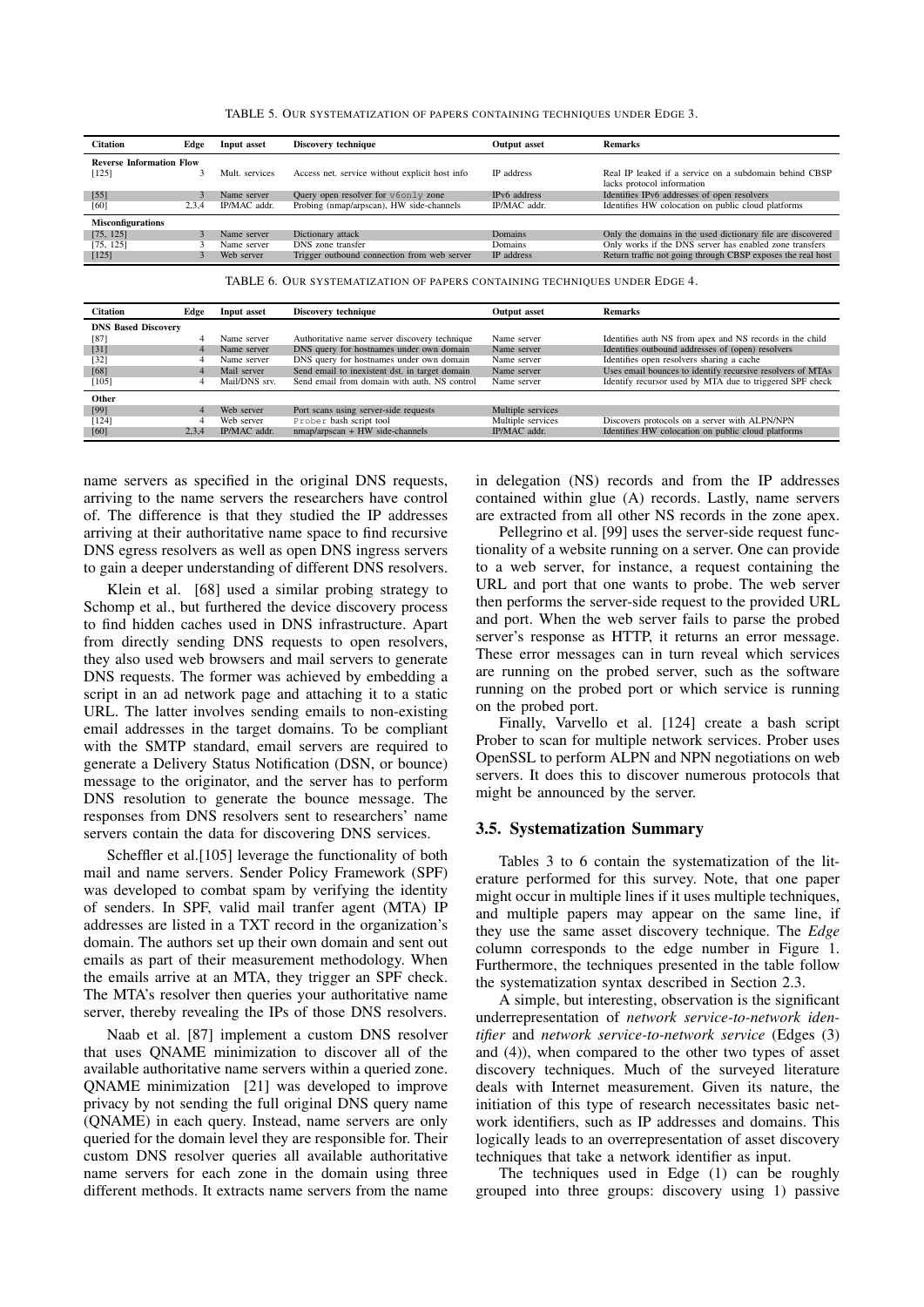<span id="page-9-1"></span>

| TABLE 5. OUR SYSTEMATIZATION OF PAPERS CONTAINING TECHNIQUES UNDER EDGE 3. |  |
|----------------------------------------------------------------------------|--|
|----------------------------------------------------------------------------|--|

| <b>Citation</b>                 | Edge  | Input asset    | Discovery technique                            | <b>Output asset</b> | <b>Remarks</b>                                              |
|---------------------------------|-------|----------------|------------------------------------------------|---------------------|-------------------------------------------------------------|
| <b>Reverse Information Flow</b> |       |                |                                                |                     |                                                             |
| [125]                           |       | Mult. services | Access net. service without explicit host info | IP address          | Real IP leaked if a service on a subdomain behind CBSP      |
|                                 |       |                |                                                |                     | lacks protocol information                                  |
| $[55]$                          |       | Name server    | Query open resolver for v6only zone            | IPv6 address        | Identifies IPv6 addresses of open resolvers                 |
| [60]                            | 2.3.4 | IP/MAC addr.   | Probing (nmap/arpscan), HW side-channels       | IP/MAC addr.        | Identifies HW colocation on public cloud platforms          |
| <b>Misconfigurations</b>        |       |                |                                                |                     |                                                             |
| [75, 125]                       |       | Name server    | Dictionary attack                              | Domains             | Only the domains in the used dictionary file are discovered |
| [75, 125]                       |       | Name server    | DNS zone transfer                              | Domains             | Only works if the DNS server has enabled zone transfers     |
| [125]                           |       | Web server     | Trigger outbound connection from web server    | IP address          | Return traffic not going through CBSP exposes the real host |

<span id="page-9-0"></span>TABLE 6. OUR SYSTEMATIZATION OF PAPERS CONTAINING TECHNIQUES UNDER EDGE 4.

| <b>Citation</b>            | Edge  | Input asset   | Discovery technique                            | <b>Output</b> asset | <b>Remarks</b>                                             |
|----------------------------|-------|---------------|------------------------------------------------|---------------------|------------------------------------------------------------|
| <b>DNS Based Discovery</b> |       |               |                                                |                     |                                                            |
| [87]                       |       | Name server   | Authoritative name server discovery technique  | Name server         | Identifies auth NS from apex and NS records in the child   |
| $[31]$                     |       | Name server   | DNS query for hostnames under own domain       | Name server         | Identifies outbound addresses of (open) resolvers          |
| $[32]$                     |       | Name server   | DNS query for hostnames under own domain       | Name server         | Identifies open resolvers sharing a cache                  |
| [68]                       |       | Mail server   | Send email to inexistent dst. in target domain | Name server         | Uses email bounces to identify recursive resolvers of MTAs |
| $[105]$                    | 4     | Mail/DNS srv. | Send email from domain with auth. NS control   | Name server         | Identify recursor used by MTA due to triggered SPF check   |
| Other                      |       |               |                                                |                     |                                                            |
| [99]                       |       | Web server    | Port scans using server-side requests          | Multiple services   |                                                            |
| [124]                      | 4     | Web server    | Prober bash script tool                        | Multiple services   | Discovers protocols on a server with ALPN/NPN              |
| [60]                       | 2.3.4 | IP/MAC addr.  | $nmap/arpscan + HW$ side-channels              | IP/MAC addr.        | Identifies HW colocation on public cloud platforms         |

name servers as specified in the original DNS requests, arriving to the name servers the researchers have control of. The difference is that they studied the IP addresses arriving at their authoritative name space to find recursive DNS egress resolvers as well as open DNS ingress servers to gain a deeper understanding of different DNS resolvers.

Klein et al. [\[68\]](#page-14-30) used a similar probing strategy to Schomp et al., but furthered the device discovery process to find hidden caches used in DNS infrastructure. Apart from directly sending DNS requests to open resolvers, they also used web browsers and mail servers to generate DNS requests. The former was achieved by embedding a script in an ad network page and attaching it to a static URL. The latter involves sending emails to non-existing email addresses in the target domains. To be compliant with the SMTP standard, email servers are required to generate a Delivery Status Notification (DSN, or bounce) message to the originator, and the server has to perform DNS resolution to generate the bounce message. The responses from DNS resolvers sent to researchers' name servers contain the data for discovering DNS services.

Scheffler et al.[\[105\]](#page-16-19) leverage the functionality of both mail and name servers. Sender Policy Framework (SPF) was developed to combat spam by verifying the identity of senders. In SPF, valid mail tranfer agent (MTA) IP addresses are listed in a TXT record in the organization's domain. The authors set up their own domain and sent out emails as part of their measurement methodology. When the emails arrive at an MTA, they trigger an SPF check. The MTA's resolver then queries your authoritative name server, thereby revealing the IPs of those DNS resolvers.

Naab et al. [\[87\]](#page-15-29) implement a custom DNS resolver that uses QNAME minimization to discover all of the available authoritative name servers within a queried zone. QNAME minimization [\[21\]](#page-13-28) was developed to improve privacy by not sending the full original DNS query name (QNAME) in each query. Instead, name servers are only queried for the domain level they are responsible for. Their custom DNS resolver queries all available authoritative name servers for each zone in the domain using three different methods. It extracts name servers from the name in delegation (NS) records and from the IP addresses contained within glue (A) records. Lastly, name servers are extracted from all other NS records in the zone apex.

Pellegrino et al. [\[99\]](#page-15-30) uses the server-side request functionality of a website running on a server. One can provide to a web server, for instance, a request containing the URL and port that one wants to probe. The web server then performs the server-side request to the provided URL and port. When the web server fails to parse the probed server's response as HTTP, it returns an error message. These error messages can in turn reveal which services are running on the probed server, such as the software running on the probed port or which service is running on the probed port.

Finally, Varvello et al. [\[124\]](#page-16-20) create a bash script Prober to scan for multiple network services. Prober uses OpenSSL to perform ALPN and NPN negotiations on web servers. It does this to discover numerous protocols that might be announced by the server.

#### <span id="page-9-2"></span>3.5. Systematization Summary

Tables [3](#page-4-0) to [6](#page-9-0) contain the systematization of the literature performed for this survey. Note, that one paper might occur in multiple lines if it uses multiple techniques, and multiple papers may appear on the same line, if they use the same asset discovery technique. The *Edge* column corresponds to the edge number in Figure [1.](#page-2-0) Furthermore, the techniques presented in the table follow the systematization syntax described in Section [2.3.](#page-3-2)

A simple, but interesting, observation is the significant underrepresentation of *network service-to-network identifier* and *network service-to-network service* (Edges (3) and (4)), when compared to the other two types of asset discovery techniques. Much of the surveyed literature deals with Internet measurement. Given its nature, the initiation of this type of research necessitates basic network identifiers, such as IP addresses and domains. This logically leads to an overrepresentation of asset discovery techniques that take a network identifier as input.

The techniques used in Edge (1) can be roughly grouped into three groups: discovery using 1) passive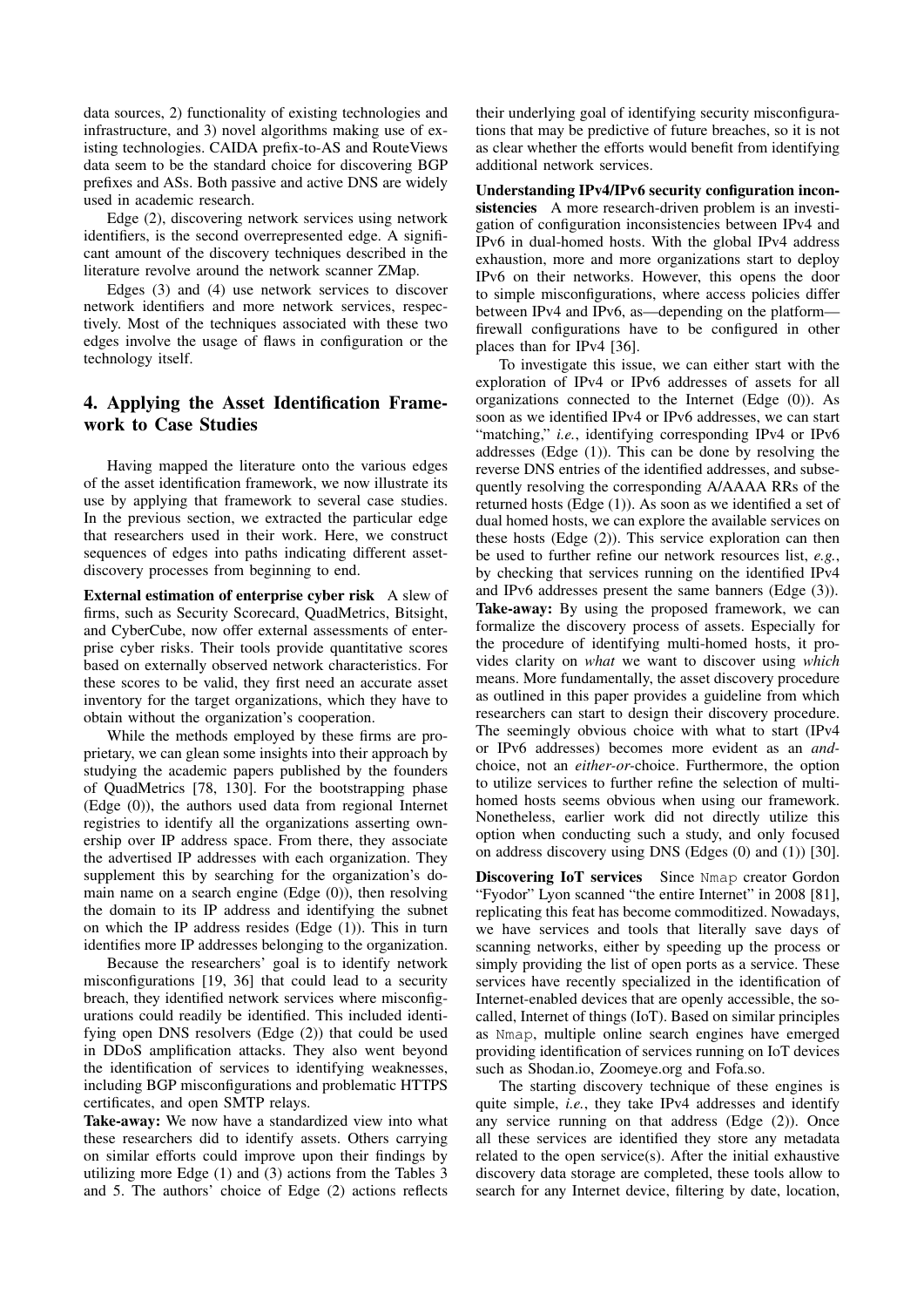data sources, 2) functionality of existing technologies and infrastructure, and 3) novel algorithms making use of existing technologies. CAIDA prefix-to-AS and RouteViews data seem to be the standard choice for discovering BGP prefixes and ASs. Both passive and active DNS are widely used in academic research.

Edge (2), discovering network services using network identifiers, is the second overrepresented edge. A significant amount of the discovery techniques described in the literature revolve around the network scanner ZMap.

Edges (3) and (4) use network services to discover network identifiers and more network services, respectively. Most of the techniques associated with these two edges involve the usage of flaws in configuration or the technology itself.

# <span id="page-10-0"></span>4. Applying the Asset Identification Framework to Case Studies

Having mapped the literature onto the various edges of the asset identification framework, we now illustrate its use by applying that framework to several case studies. In the previous section, we extracted the particular edge that researchers used in their work. Here, we construct sequences of edges into paths indicating different assetdiscovery processes from beginning to end.

External estimation of enterprise cyber risk A slew of firms, such as Security Scorecard, QuadMetrics, Bitsight, and CyberCube, now offer external assessments of enterprise cyber risks. Their tools provide quantitative scores based on externally observed network characteristics. For these scores to be valid, they first need an accurate asset inventory for the target organizations, which they have to obtain without the organization's cooperation.

While the methods employed by these firms are proprietary, we can glean some insights into their approach by studying the academic papers published by the founders of QuadMetrics [\[78,](#page-15-3) [130\]](#page-16-21). For the bootstrapping phase (Edge (0)), the authors used data from regional Internet registries to identify all the organizations asserting ownership over IP address space. From there, they associate the advertised IP addresses with each organization. They supplement this by searching for the organization's domain name on a search engine  $(\text{Edge}(0))$ , then resolving the domain to its IP address and identifying the subnet on which the IP address resides (Edge (1)). This in turn identifies more IP addresses belonging to the organization.

Because the researchers' goal is to identify network misconfigurations [\[19,](#page-13-29) [36\]](#page-14-31) that could lead to a security breach, they identified network services where misconfigurations could readily be identified. This included identifying open DNS resolvers (Edge (2)) that could be used in DDoS amplification attacks. They also went beyond the identification of services to identifying weaknesses, including BGP misconfigurations and problematic HTTPS certificates, and open SMTP relays.

Take-away: We now have a standardized view into what these researchers did to identify assets. Others carrying on similar efforts could improve upon their findings by utilizing more Edge (1) and (3) actions from the Tables [3](#page-4-0) and [5.](#page-9-1) The authors' choice of Edge (2) actions reflects

their underlying goal of identifying security misconfigurations that may be predictive of future breaches, so it is not as clear whether the efforts would benefit from identifying additional network services.

Understanding IPv4/IPv6 security configuration inconsistencies A more research-driven problem is an investigation of configuration inconsistencies between IPv4 and IPv6 in dual-homed hosts. With the global IPv4 address exhaustion, more and more organizations start to deploy IPv6 on their networks. However, this opens the door to simple misconfigurations, where access policies differ between IPv4 and IPv6, as—depending on the platform firewall configurations have to be configured in other places than for IPv4 [\[36\]](#page-14-31).

To investigate this issue, we can either start with the exploration of IPv4 or IPv6 addresses of assets for all organizations connected to the Internet (Edge (0)). As soon as we identified IPv4 or IPv6 addresses, we can start "matching," *i.e.*, identifying corresponding IPv4 or IPv6 addresses (Edge (1)). This can be done by resolving the reverse DNS entries of the identified addresses, and subsequently resolving the corresponding A/AAAA RRs of the returned hosts (Edge (1)). As soon as we identified a set of dual homed hosts, we can explore the available services on these hosts (Edge (2)). This service exploration can then be used to further refine our network resources list, *e.g.*, by checking that services running on the identified IPv4 and IPv6 addresses present the same banners (Edge (3)). Take-away: By using the proposed framework, we can formalize the discovery process of assets. Especially for the procedure of identifying multi-homed hosts, it provides clarity on *what* we want to discover using *which* means. More fundamentally, the asset discovery procedure as outlined in this paper provides a guideline from which researchers can start to design their discovery procedure. The seemingly obvious choice with what to start (IPv4 or IPv6 addresses) becomes more evident as an *and*choice, not an *either-or-*choice. Furthermore, the option to utilize services to further refine the selection of multihomed hosts seems obvious when using our framework. Nonetheless, earlier work did not directly utilize this option when conducting such a study, and only focused on address discovery using DNS (Edges (0) and (1)) [\[30\]](#page-13-6).

Discovering IoT services Since Nmap creator Gordon "Fyodor" Lyon scanned "the entire Internet" in 2008 [\[81\]](#page-15-31), replicating this feat has become commoditized. Nowadays, we have services and tools that literally save days of scanning networks, either by speeding up the process or simply providing the list of open ports as a service. These services have recently specialized in the identification of Internet-enabled devices that are openly accessible, the socalled, Internet of things (IoT). Based on similar principles as Nmap, multiple online search engines have emerged providing identification of services running on IoT devices such as [Shodan.io,](Shodan.io) <Zoomeye.org> and [Fofa.so.](Fofa.so)

The starting discovery technique of these engines is quite simple, *i.e.*, they take IPv4 addresses and identify any service running on that address (Edge (2)). Once all these services are identified they store any metadata related to the open service(s). After the initial exhaustive discovery data storage are completed, these tools allow to search for any Internet device, filtering by date, location,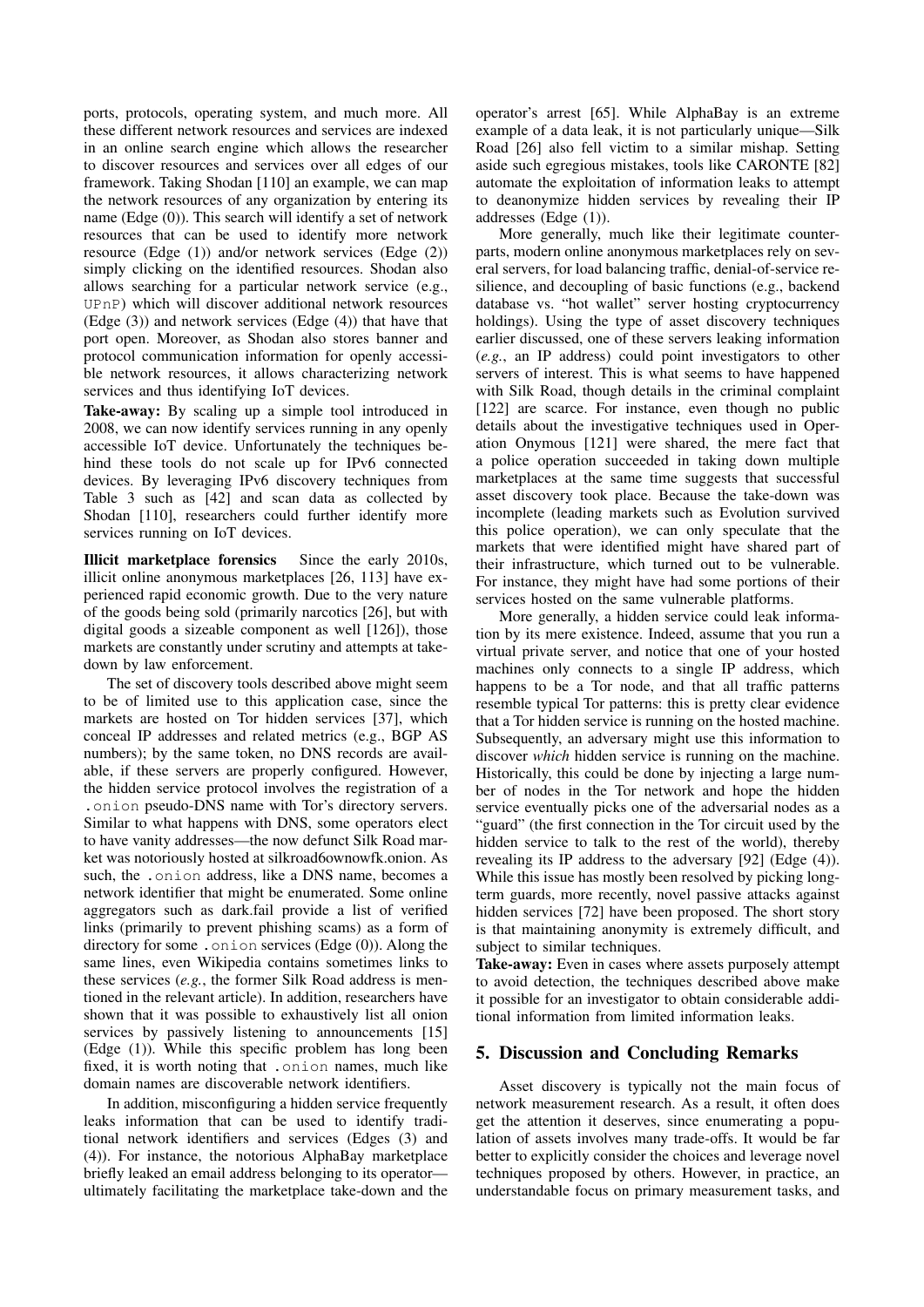ports, protocols, operating system, and much more. All these different network resources and services are indexed in an online search engine which allows the researcher to discover resources and services over all edges of our framework. Taking Shodan [\[110\]](#page-16-17) an example, we can map the network resources of any organization by entering its name (Edge (0)). This search will identify a set of network resources that can be used to identify more network resource (Edge (1)) and/or network services (Edge (2)) simply clicking on the identified resources. Shodan also allows searching for a particular network service (e.g., UPnP) which will discover additional network resources (Edge (3)) and network services (Edge (4)) that have that port open. Moreover, as Shodan also stores banner and protocol communication information for openly accessible network resources, it allows characterizing network services and thus identifying IoT devices.

Take-away: By scaling up a simple tool introduced in 2008, we can now identify services running in any openly accessible IoT device. Unfortunately the techniques behind these tools do not scale up for IPv6 connected devices. By leveraging IPv6 discovery techniques from Table [3](#page-4-0) such as [\[42\]](#page-14-16) and scan data as collected by Shodan [\[110\]](#page-16-17), researchers could further identify more services running on IoT devices.

Illicit marketplace forensics Since the early 2010s, illicit online anonymous marketplaces [\[26,](#page-13-30) [113\]](#page-16-22) have experienced rapid economic growth. Due to the very nature of the goods being sold (primarily narcotics [\[26\]](#page-13-30), but with digital goods a sizeable component as well [\[126\]](#page-16-23)), those markets are constantly under scrutiny and attempts at takedown by law enforcement.

The set of discovery tools described above might seem to be of limited use to this application case, since the markets are hosted on Tor hidden services [\[37\]](#page-14-32), which conceal IP addresses and related metrics (e.g., BGP AS numbers); by the same token, no DNS records are available, if these servers are properly configured. However, the hidden service protocol involves the registration of a .onion pseudo-DNS name with Tor's directory servers. Similar to what happens with DNS, some operators elect to have vanity addresses—the now defunct Silk Road market was notoriously hosted at silkroad6ownowfk.onion. As such, the .onion address, like a DNS name, becomes a network identifier that might be enumerated. Some online aggregators such as dark.fail provide a list of verified links (primarily to prevent phishing scams) as a form of directory for some . onion services (Edge  $(0)$ ). Along the same lines, even Wikipedia contains sometimes links to these services (*e.g.*, the former Silk Road address is mentioned in the relevant article). In addition, researchers have shown that it was possible to exhaustively list all onion services by passively listening to announcements [\[15\]](#page-13-31) (Edge (1)). While this specific problem has long been fixed, it is worth noting that .onion names, much like domain names are discoverable network identifiers.

In addition, misconfiguring a hidden service frequently leaks information that can be used to identify traditional network identifiers and services (Edges (3) and (4)). For instance, the notorious AlphaBay marketplace briefly leaked an email address belonging to its operator ultimately facilitating the marketplace take-down and the operator's arrest [\[65\]](#page-14-33). While AlphaBay is an extreme example of a data leak, it is not particularly unique—Silk Road [\[26\]](#page-13-30) also fell victim to a similar mishap. Setting aside such egregious mistakes, tools like CARONTE [\[82\]](#page-15-8) automate the exploitation of information leaks to attempt to deanonymize hidden services by revealing their IP addresses (Edge (1)).

More generally, much like their legitimate counterparts, modern online anonymous marketplaces rely on several servers, for load balancing traffic, denial-of-service resilience, and decoupling of basic functions (e.g., backend database vs. "hot wallet" server hosting cryptocurrency holdings). Using the type of asset discovery techniques earlier discussed, one of these servers leaking information (*e.g.*, an IP address) could point investigators to other servers of interest. This is what seems to have happened with Silk Road, though details in the criminal complaint [\[122\]](#page-16-24) are scarce. For instance, even though no public details about the investigative techniques used in Operation Onymous [\[121\]](#page-16-25) were shared, the mere fact that a police operation succeeded in taking down multiple marketplaces at the same time suggests that successful asset discovery took place. Because the take-down was incomplete (leading markets such as Evolution survived this police operation), we can only speculate that the markets that were identified might have shared part of their infrastructure, which turned out to be vulnerable. For instance, they might have had some portions of their services hosted on the same vulnerable platforms.

More generally, a hidden service could leak information by its mere existence. Indeed, assume that you run a virtual private server, and notice that one of your hosted machines only connects to a single IP address, which happens to be a Tor node, and that all traffic patterns resemble typical Tor patterns: this is pretty clear evidence that a Tor hidden service is running on the hosted machine. Subsequently, an adversary might use this information to discover *which* hidden service is running on the machine. Historically, this could be done by injecting a large number of nodes in the Tor network and hope the hidden service eventually picks one of the adversarial nodes as a "guard" (the first connection in the Tor circuit used by the hidden service to talk to the rest of the world), thereby revealing its IP address to the adversary [\[92\]](#page-15-32) (Edge (4)). While this issue has mostly been resolved by picking longterm guards, more recently, novel passive attacks against hidden services [\[72\]](#page-15-33) have been proposed. The short story is that maintaining anonymity is extremely difficult, and subject to similar techniques.

Take-away: Even in cases where assets purposely attempt to avoid detection, the techniques described above make it possible for an investigator to obtain considerable additional information from limited information leaks.

### <span id="page-11-0"></span>5. Discussion and Concluding Remarks

Asset discovery is typically not the main focus of network measurement research. As a result, it often does get the attention it deserves, since enumerating a population of assets involves many trade-offs. It would be far better to explicitly consider the choices and leverage novel techniques proposed by others. However, in practice, an understandable focus on primary measurement tasks, and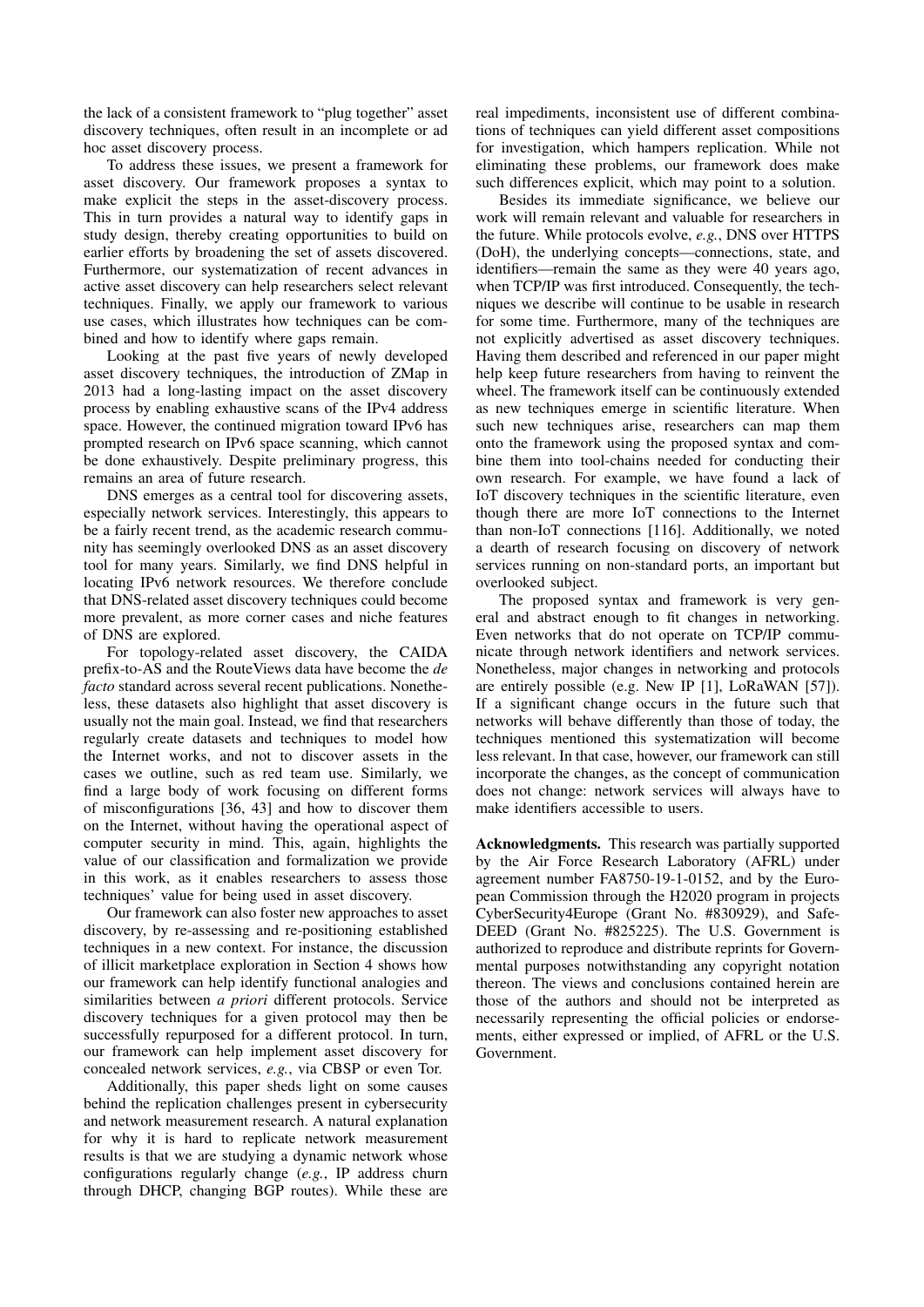the lack of a consistent framework to "plug together" asset discovery techniques, often result in an incomplete or ad hoc asset discovery process.

To address these issues, we present a framework for asset discovery. Our framework proposes a syntax to make explicit the steps in the asset-discovery process. This in turn provides a natural way to identify gaps in study design, thereby creating opportunities to build on earlier efforts by broadening the set of assets discovered. Furthermore, our systematization of recent advances in active asset discovery can help researchers select relevant techniques. Finally, we apply our framework to various use cases, which illustrates how techniques can be combined and how to identify where gaps remain.

Looking at the past five years of newly developed asset discovery techniques, the introduction of ZMap in 2013 had a long-lasting impact on the asset discovery process by enabling exhaustive scans of the IPv4 address space. However, the continued migration toward IPv6 has prompted research on IPv6 space scanning, which cannot be done exhaustively. Despite preliminary progress, this remains an area of future research.

DNS emerges as a central tool for discovering assets, especially network services. Interestingly, this appears to be a fairly recent trend, as the academic research community has seemingly overlooked DNS as an asset discovery tool for many years. Similarly, we find DNS helpful in locating IPv6 network resources. We therefore conclude that DNS-related asset discovery techniques could become more prevalent, as more corner cases and niche features of DNS are explored.

For topology-related asset discovery, the CAIDA prefix-to-AS and the RouteViews data have become the *de facto* standard across several recent publications. Nonetheless, these datasets also highlight that asset discovery is usually not the main goal. Instead, we find that researchers regularly create datasets and techniques to model how the Internet works, and not to discover assets in the cases we outline, such as red team use. Similarly, we find a large body of work focusing on different forms of misconfigurations [\[36,](#page-14-31) [43\]](#page-14-34) and how to discover them on the Internet, without having the operational aspect of computer security in mind. This, again, highlights the value of our classification and formalization we provide in this work, as it enables researchers to assess those techniques' value for being used in asset discovery.

Our framework can also foster new approaches to asset discovery, by re-assessing and re-positioning established techniques in a new context. For instance, the discussion of illicit marketplace exploration in Section [4](#page-10-0) shows how our framework can help identify functional analogies and similarities between *a priori* different protocols. Service discovery techniques for a given protocol may then be successfully repurposed for a different protocol. In turn, our framework can help implement asset discovery for concealed network services, *e.g.*, via CBSP or even Tor.

Additionally, this paper sheds light on some causes behind the replication challenges present in cybersecurity and network measurement research. A natural explanation for why it is hard to replicate network measurement results is that we are studying a dynamic network whose configurations regularly change (*e.g.*, IP address churn through DHCP, changing BGP routes). While these are real impediments, inconsistent use of different combinations of techniques can yield different asset compositions for investigation, which hampers replication. While not eliminating these problems, our framework does make such differences explicit, which may point to a solution.

Besides its immediate significance, we believe our work will remain relevant and valuable for researchers in the future. While protocols evolve, *e.g.*, DNS over HTTPS (DoH), the underlying concepts—connections, state, and identifiers—remain the same as they were 40 years ago, when TCP/IP was first introduced. Consequently, the techniques we describe will continue to be usable in research for some time. Furthermore, many of the techniques are not explicitly advertised as asset discovery techniques. Having them described and referenced in our paper might help keep future researchers from having to reinvent the wheel. The framework itself can be continuously extended as new techniques emerge in scientific literature. When such new techniques arise, researchers can map them onto the framework using the proposed syntax and combine them into tool-chains needed for conducting their own research. For example, we have found a lack of IoT discovery techniques in the scientific literature, even though there are more IoT connections to the Internet than non-IoT connections [\[116\]](#page-16-26). Additionally, we noted a dearth of research focusing on discovery of network services running on non-standard ports, an important but overlooked subject.

The proposed syntax and framework is very general and abstract enough to fit changes in networking. Even networks that do not operate on TCP/IP communicate through network identifiers and network services. Nonetheless, major changes in networking and protocols are entirely possible (e.g. New IP [\[1\]](#page-13-32), LoRaWAN [\[57\]](#page-14-35)). If a significant change occurs in the future such that networks will behave differently than those of today, the techniques mentioned this systematization will become less relevant. In that case, however, our framework can still incorporate the changes, as the concept of communication does not change: network services will always have to make identifiers accessible to users.

Acknowledgments. This research was partially supported by the Air Force Research Laboratory (AFRL) under agreement number FA8750-19-1-0152, and by the European Commission through the H2020 program in projects CyberSecurity4Europe (Grant No. #830929), and Safe-DEED (Grant No. #825225). The U.S. Government is authorized to reproduce and distribute reprints for Governmental purposes notwithstanding any copyright notation thereon. The views and conclusions contained herein are those of the authors and should not be interpreted as necessarily representing the official policies or endorsements, either expressed or implied, of AFRL or the U.S. Government.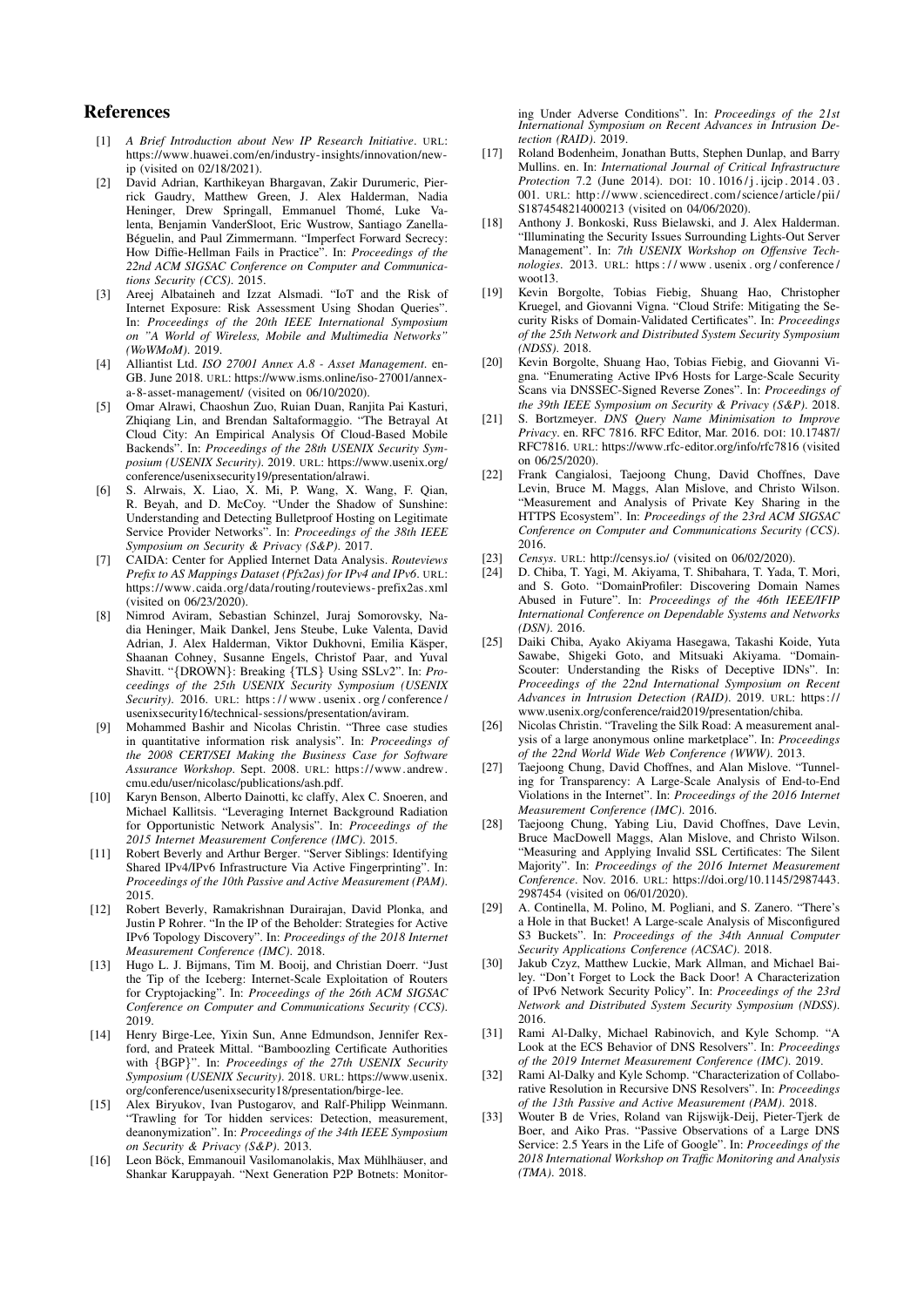#### References

- <span id="page-13-32"></span>[1] *A Brief Introduction about New IP Research Initiative*. URL: [https://www.huawei.com/en/industry-insights/innovation/new](https://www.huawei.com/en/industry-insights/innovation/new-ip)[ip](https://www.huawei.com/en/industry-insights/innovation/new-ip) (visited on 02/18/2021).
- <span id="page-13-20"></span>[2] David Adrian, Karthikeyan Bhargavan, Zakir Durumeric, Pierrick Gaudry, Matthew Green, J. Alex Halderman, Nadia Heninger, Drew Springall, Emmanuel Thomé, Luke Valenta, Benjamin VanderSloot, Eric Wustrow, Santiago Zanella-Béguelin, and Paul Zimmermann. "Imperfect Forward Secrecy: How Diffie-Hellman Fails in Practice". In: *Proceedings of the 22nd ACM SIGSAC Conference on Computer and Communications Security (CCS)*. 2015.
- <span id="page-13-2"></span>[3] Areej Albataineh and Izzat Alsmadi. "IoT and the Risk of Internet Exposure: Risk Assessment Using Shodan Queries". In: *Proceedings of the 20th IEEE International Symposium on "A World of Wireless, Mobile and Multimedia Networks" (WoWMoM)*. 2019.
- <span id="page-13-0"></span>[4] Alliantist Ltd. *ISO 27001 Annex A.8 - Asset Management*. en-GB. June 2018. URL: [https://www.isms.online/iso-27001/annex](https://www.isms.online/iso-27001/annex-a-8-asset-management/)[a-8-asset-management/](https://www.isms.online/iso-27001/annex-a-8-asset-management/) (visited on 06/10/2020).
- <span id="page-13-22"></span>[5] Omar Alrawi, Chaoshun Zuo, Ruian Duan, Ranjita Pai Kasturi, Zhiqiang Lin, and Brendan Saltaformaggio. "The Betrayal At Cloud City: An Empirical Analysis Of Cloud-Based Mobile Backends". In: *Proceedings of the 28th USENIX Security Symposium (USENIX Security)*. 2019. URL: [https://www.usenix.org/](https://www.usenix.org/conference/usenixsecurity19/presentation/alrawi) [conference/usenixsecurity19/presentation/alrawi.](https://www.usenix.org/conference/usenixsecurity19/presentation/alrawi)
- <span id="page-13-9"></span>[6] S. Alrwais, X. Liao, X. Mi, P. Wang, X. Wang, F. Qian, R. Beyah, and D. McCoy. "Under the Shadow of Sunshine: Understanding and Detecting Bulletproof Hosting on Legitimate Service Provider Networks". In: *Proceedings of the 38th IEEE Symposium on Security & Privacy (S&P)*. 2017.
- <span id="page-13-17"></span>[7] CAIDA: Center for Applied Internet Data Analysis. *Routeviews Prefix to AS Mappings Dataset (Pfx2as) for IPv4 and IPv6*. URL: [https://www.caida.org/data/routing/routeviews- prefix2as.xml](https://www.caida.org/data/routing/routeviews-prefix2as.xml) (visited on 06/23/2020).
- <span id="page-13-21"></span>[8] Nimrod Aviram, Sebastian Schinzel, Juraj Somorovsky, Nadia Heninger, Maik Dankel, Jens Steube, Luke Valenta, David Adrian, J. Alex Halderman, Viktor Dukhovni, Emilia Käsper, Shaanan Cohney, Susanne Engels, Christof Paar, and Yuval Shavitt. "{DROWN}: Breaking {TLS} Using SSLv2". In: *Proceedings of the 25th USENIX Security Symposium (USENIX Security)*. 2016. URL: [https : / / www . usenix . org / conference /](https://www.usenix.org/conference/usenixsecurity16/technical-sessions/presentation/aviram) [usenixsecurity16/technical-sessions/presentation/aviram.](https://www.usenix.org/conference/usenixsecurity16/technical-sessions/presentation/aviram)
- <span id="page-13-1"></span>[9] Mohammed Bashir and Nicolas Christin. "Three case studies in quantitative information risk analysis". In: *Proceedings of the 2008 CERT/SEI Making the Business Case for Software Assurance Workshop*. Sept. 2008. URL: [https://www.andrew.](https://www.andrew.cmu.edu/user/nicolasc/publications/ash.pdf) [cmu.edu/user/nicolasc/publications/ash.pdf.](https://www.andrew.cmu.edu/user/nicolasc/publications/ash.pdf)
- <span id="page-13-12"></span>[10] Karyn Benson, Alberto Dainotti, kc claffy, Alex C. Snoeren, and Michael Kallitsis. "Leveraging Internet Background Radiation for Opportunistic Network Analysis". In: *Proceedings of the 2015 Internet Measurement Conference (IMC)*. 2015.
- <span id="page-13-19"></span>[11] Robert Beverly and Arthur Berger. "Server Siblings: Identifying Shared IPv4/IPv6 Infrastructure Via Active Fingerprinting". In: *Proceedings of the 10th Passive and Active Measurement (PAM)*. 2015.
- <span id="page-13-16"></span>[12] Robert Beverly, Ramakrishnan Durairajan, David Plonka, and Justin P Rohrer. "In the IP of the Beholder: Strategies for Active IPv6 Topology Discovery". In: *Proceedings of the 2018 Internet Measurement Conference (IMC)*. 2018.
- <span id="page-13-18"></span>[13] Hugo L. J. Bijmans, Tim M. Booij, and Christian Doerr. "Just the Tip of the Iceberg: Internet-Scale Exploitation of Routers for Cryptojacking". In: *Proceedings of the 26th ACM SIGSAC Conference on Computer and Communications Security (CCS)*. 2019.
- <span id="page-13-8"></span>[14] Henry Birge-Lee, Yixin Sun, Anne Edmundson, Jennifer Rexford, and Prateek Mittal. "Bamboozling Certificate Authorities with {BGP}". In: *Proceedings of the 27th USENIX Security Symposium (USENIX Security)*. 2018. URL: [https://www.usenix.](https://www.usenix.org/conference/usenixsecurity18/presentation/birge-lee) [org/conference/usenixsecurity18/presentation/birge-lee.](https://www.usenix.org/conference/usenixsecurity18/presentation/birge-lee)
- <span id="page-13-31"></span>[15] Alex Biryukov, Ivan Pustogarov, and Ralf-Philipp Weinmann. "Trawling for Tor hidden services: Detection, measurement, deanonymization". In: *Proceedings of the 34th IEEE Symposium on Security & Privacy (S&P)*. 2013.
- <span id="page-13-23"></span>[16] Leon Böck, Emmanouil Vasilomanolakis, Max Mühlhäuser, and Shankar Karuppayah. "Next Generation P2P Botnets: Monitor-

ing Under Adverse Conditions". In: *Proceedings of the 21st International Symposium on Recent Advances in Intrusion Detection (RAID)*. 2019.

- <span id="page-13-3"></span>[17] Roland Bodenheim, Jonathan Butts, Stephen Dunlap, and Barry Mullins. en. In: *International Journal of Critical Infrastructure Protection* 7.2 (June 2014). DOI: 10.1016/j.ijcip.2014.03. [001.](https://doi.org/10.1016/j.ijcip.2014.03.001) URL: [http://www. sciencedirect.com/ science/article/ pii/](http://www.sciencedirect.com/science/article/pii/S1874548214000213) [S1874548214000213](http://www.sciencedirect.com/science/article/pii/S1874548214000213) (visited on 04/06/2020).
- <span id="page-13-4"></span>[18] Anthony J. Bonkoski, Russ Bielawski, and J. Alex Halderman. "Illuminating the Security Issues Surrounding Lights-Out Server Management". In: *7th USENIX Workshop on Offensive Technologies*. 2013. URL: [https : / / www . usenix . org / conference /](https://www.usenix.org/conference/woot13) woot<sup>13</sup>.
- <span id="page-13-29"></span>[19] Kevin Borgolte, Tobias Fiebig, Shuang Hao, Christopher Kruegel, and Giovanni Vigna. "Cloud Strife: Mitigating the Security Risks of Domain-Validated Certificates". In: *Proceedings of the 25th Network and Distributed System Security Symposium (NDSS)*. 2018.
- <span id="page-13-5"></span>[20] Kevin Borgolte, Shuang Hao, Tobias Fiebig, and Giovanni Vigna. "Enumerating Active IPv6 Hosts for Large-Scale Security Scans via DNSSEC-Signed Reverse Zones". In: *Proceedings of the 39th IEEE Symposium on Security & Privacy (S&P)*. 2018.
- <span id="page-13-28"></span>[21] S. Bortzmeyer. *DNS Query Name Minimisation to Improve Privacy*. en. RFC 7816. RFC Editor, Mar. 2016. DOI: [10.17487/](https://doi.org/10.17487/RFC7816) [RFC7816.](https://doi.org/10.17487/RFC7816) URL: <https://www.rfc-editor.org/info/rfc7816> (visited on 06/25/2020).
- <span id="page-13-13"></span>[22] Frank Cangialosi, Taejoong Chung, David Choffnes, Dave Levin, Bruce M. Maggs, Alan Mislove, and Christo Wilson. "Measurement and Analysis of Private Key Sharing in the HTTPS Ecosystem". In: *Proceedings of the 23rd ACM SIGSAC Conference on Computer and Communications Security (CCS)*. 2016.
- <span id="page-13-25"></span>[23] *Censys*. URL: <http://censys.io/> (visited on 06/02/2020).
- <span id="page-13-7"></span>[24] D. Chiba, T. Yagi, M. Akiyama, T. Shibahara, T. Yada, T. Mori, and S. Goto. "DomainProfiler: Discovering Domain Names Abused in Future". In: *Proceedings of the 46th IEEE/IFIP International Conference on Dependable Systems and Networks (DSN)*. 2016.
- <span id="page-13-11"></span>[25] Daiki Chiba, Ayako Akiyama Hasegawa, Takashi Koide, Yuta Sawabe, Shigeki Goto, and Mitsuaki Akiyama. "Domain-Scouter: Understanding the Risks of Deceptive IDNs". In: *Proceedings of the 22nd International Symposium on Recent Advances in Intrusion Detection (RAID)*. 2019. URL: [https://](https://www.usenix.org/conference/raid2019/presentation/chiba) [www.usenix.org/conference/raid2019/presentation/chiba.](https://www.usenix.org/conference/raid2019/presentation/chiba)
- <span id="page-13-30"></span>[26] Nicolas Christin. "Traveling the Silk Road: A measurement analysis of a large anonymous online marketplace". In: *Proceedings of the 22nd World Wide Web Conference (WWW)*. 2013.
- <span id="page-13-15"></span>[27] Taejoong Chung, David Choffnes, and Alan Mislove. "Tunneling for Transparency: A Large-Scale Analysis of End-to-End Violations in the Internet". In: *Proceedings of the 2016 Internet Measurement Conference (IMC)*. 2016.
- <span id="page-13-14"></span>[28] Taejoong Chung, Yabing Liu, David Choffnes, Dave Levin, Bruce MacDowell Maggs, Alan Mislove, and Christo Wilson. "Measuring and Applying Invalid SSL Certificates: The Silent Majority". In: *Proceedings of the 2016 Internet Measurement Conference*. Nov. 2016. URL: [https://doi.org/10.1145/2987443.](https://doi.org/10.1145/2987443.2987454) [2987454](https://doi.org/10.1145/2987443.2987454) (visited on 06/01/2020).
- <span id="page-13-24"></span>[29] A. Continella, M. Polino, M. Pogliani, and S. Zanero. "There's a Hole in that Bucket! A Large-scale Analysis of Misconfigured S3 Buckets". In: *Proceedings of the 34th Annual Computer Security Applications Conference (ACSAC)*. 2018.
- <span id="page-13-6"></span>[30] Jakub Czyz, Matthew Luckie, Mark Allman, and Michael Bailey. "Don't Forget to Lock the Back Door! A Characterization of IPv6 Network Security Policy". In: *Proceedings of the 23rd Network and Distributed System Security Symposium (NDSS)*. 2016.
- <span id="page-13-27"></span>[31] Rami Al-Dalky, Michael Rabinovich, and Kyle Schomp. "A Look at the ECS Behavior of DNS Resolvers". In: *Proceedings of the 2019 Internet Measurement Conference (IMC)*. 2019.
- <span id="page-13-26"></span>[32] Rami Al-Dalky and Kyle Schomp. "Characterization of Collaborative Resolution in Recursive DNS Resolvers". In: *Proceedings of the 13th Passive and Active Measurement (PAM)*. 2018.
- <span id="page-13-10"></span>[33] Wouter B de Vries, Roland van Rijswijk-Deij, Pieter-Tjerk de Boer, and Aiko Pras. "Passive Observations of a Large DNS Service: 2.5 Years in the Life of Google". In: *Proceedings of the 2018 International Workshop on Traffic Monitoring and Analysis (TMA)*. 2018.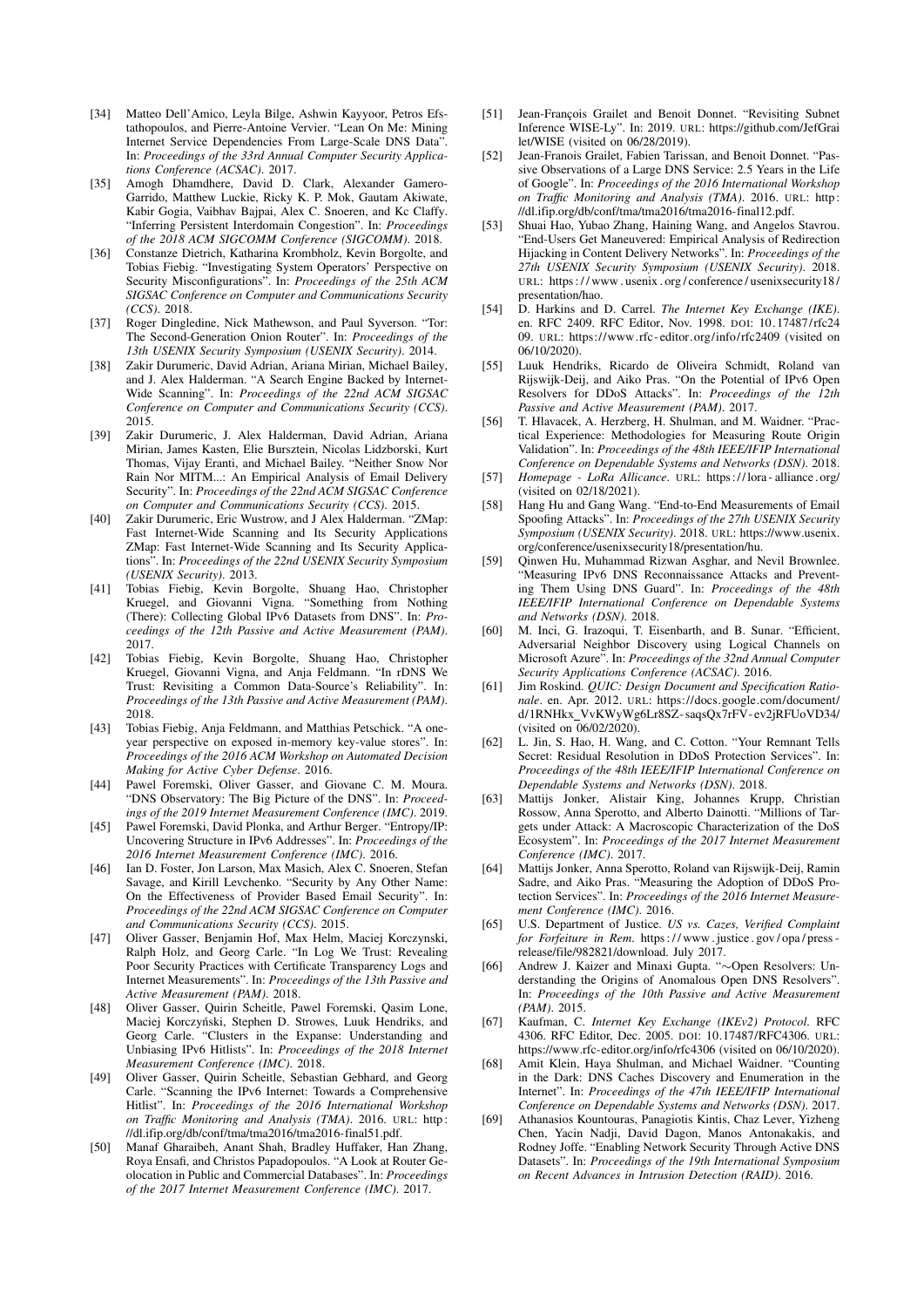- <span id="page-14-0"></span>[34] Matteo Dell'Amico, Leyla Bilge, Ashwin Kayyoor, Petros Efstathopoulos, and Pierre-Antoine Vervier. "Lean On Me: Mining Internet Service Dependencies From Large-Scale DNS Data". In: *Proceedings of the 33rd Annual Computer Security Applications Conference (ACSAC)*. 2017.
- <span id="page-14-14"></span>[35] Amogh Dhamdhere, David D. Clark, Alexander Gamero-Garrido, Matthew Luckie, Ricky K. P. Mok, Gautam Akiwate, Kabir Gogia, Vaibhav Bajpai, Alex C. Snoeren, and Kc Claffy. "Inferring Persistent Interdomain Congestion". In: *Proceedings of the 2018 ACM SIGCOMM Conference (SIGCOMM)*. 2018.
- <span id="page-14-31"></span>[36] Constanze Dietrich, Katharina Krombholz, Kevin Borgolte, and Tobias Fiebig. "Investigating System Operators' Perspective on Security Misconfigurations". In: *Proceedings of the 25th ACM SIGSAC Conference on Computer and Communications Security (CCS)*. 2018.
- <span id="page-14-32"></span>[37] Roger Dingledine, Nick Mathewson, and Paul Syverson. "Tor: The Second-Generation Onion Router". In: *Proceedings of the 13th USENIX Security Symposium (USENIX Security)*. 2014.
- <span id="page-14-22"></span>[38] Zakir Durumeric, David Adrian, Ariana Mirian, Michael Bailey, and J. Alex Halderman. "A Search Engine Backed by Internet-Wide Scanning". In: *Proceedings of the 22nd ACM SIGSAC Conference on Computer and Communications Security (CCS)*. 2015.
- <span id="page-14-18"></span>[39] Zakir Durumeric, J. Alex Halderman, David Adrian, Ariana Mirian, James Kasten, Elie Bursztein, Nicolas Lidzborski, Kurt Thomas, Vijay Eranti, and Michael Bailey. "Neither Snow Nor Rain Nor MITM...: An Empirical Analysis of Email Delivery Security". In: *Proceedings of the 22nd ACM SIGSAC Conference on Computer and Communications Security (CCS)*. 2015.
- <span id="page-14-25"></span>[40] Zakir Durumeric, Eric Wustrow, and J Alex Halderman. "ZMap: Fast Internet-Wide Scanning and Its Security Applications ZMap: Fast Internet-Wide Scanning and Its Security Applications". In: *Proceedings of the 22nd USENIX Security Symposium (USENIX Security)*. 2013.
- <span id="page-14-17"></span>[41] Tobias Fiebig, Kevin Borgolte, Shuang Hao, Christopher Kruegel, and Giovanni Vigna. "Something from Nothing (There): Collecting Global IPv6 Datasets from DNS". In: *Proceedings of the 12th Passive and Active Measurement (PAM)*. 2017.
- <span id="page-14-16"></span>[42] Tobias Fiebig, Kevin Borgolte, Shuang Hao, Christopher Kruegel, Giovanni Vigna, and Anja Feldmann. "In rDNS We Trust: Revisiting a Common Data-Source's Reliability". In: *Proceedings of the 13th Passive and Active Measurement (PAM)*. 2018.
- <span id="page-14-34"></span>[43] Tobias Fiebig, Anja Feldmann, and Matthias Petschick. "A oneyear perspective on exposed in-memory key-value stores". In: *Proceedings of the 2016 ACM Workshop on Automated Decision Making for Active Cyber Defense*. 2016.
- <span id="page-14-15"></span>[44] Pawel Foremski, Oliver Gasser, and Giovane C. M. Moura. "DNS Observatory: The Big Picture of the DNS". In: *Proceedings of the 2019 Internet Measurement Conference (IMC)*. 2019.
- <span id="page-14-7"></span>[45] Pawel Foremski, David Plonka, and Arthur Berger. "Entropy/IP: Uncovering Structure in IPv6 Addresses". In: *Proceedings of the 2016 Internet Measurement Conference (IMC)*. 2016.
- <span id="page-14-19"></span>[46] Ian D. Foster, Jon Larson, Max Masich, Alex C. Snoeren, Stefan Savage, and Kirill Levchenko. "Security by Any Other Name: On the Effectiveness of Provider Based Email Security". In: *Proceedings of the 22nd ACM SIGSAC Conference on Computer and Communications Security (CCS)*. 2015.
- <span id="page-14-2"></span>[47] Oliver Gasser, Benjamin Hof, Max Helm, Maciej Korczynski, Ralph Holz, and Georg Carle. "In Log We Trust: Revealing Poor Security Practices with Certificate Transparency Logs and Internet Measurements". In: *Proceedings of the 13th Passive and Active Measurement (PAM)*. 2018.
- <span id="page-14-23"></span>[48] Oliver Gasser, Quirin Scheitle, Pawel Foremski, Qasim Lone, Maciej Korczyński, Stephen D. Strowes, Luuk Hendriks, and Georg Carle. "Clusters in the Expanse: Understanding and Unbiasing IPv6 Hitlists". In: *Proceedings of the 2018 Internet Measurement Conference (IMC)*. 2018.
- <span id="page-14-3"></span>[49] Oliver Gasser, Quirin Scheitle, Sebastian Gebhard, and Georg Carle. "Scanning the IPv6 Internet: Towards a Comprehensive Hitlist". In: *Proceedings of the 2016 International Workshop on Traffic Monitoring and Analysis (TMA)*. 2016. URL: [http:](http://dl.ifip.org/db/conf/tma/tma2016/tma2016-final51.pdf) [//dl.ifip.org/db/conf/tma/tma2016/tma2016-final51.pdf.](http://dl.ifip.org/db/conf/tma/tma2016/tma2016-final51.pdf)
- <span id="page-14-9"></span>[50] Manaf Gharaibeh, Anant Shah, Bradley Huffaker, Han Zhang, Roya Ensafi, and Christos Papadopoulos. "A Look at Router Geolocation in Public and Commercial Databases". In: *Proceedings of the 2017 Internet Measurement Conference (IMC)*. 2017.
- <span id="page-14-12"></span>[51] Jean-Francois Grailet and Benoit Donnet. "Revisiting Subnet Inference WISE-Ly". In: 2019. URL: [https://github.com/JefGrai](https://github.com/JefGrailet/WISE) [let/WISE](https://github.com/JefGrailet/WISE) (visited on 06/28/2019).
- <span id="page-14-11"></span>[52] Jean-Franois Grailet, Fabien Tarissan, and Benoit Donnet. "Passive Observations of a Large DNS Service: 2.5 Years in the Life of Google". In: *Proceedings of the 2016 International Workshop on Traffic Monitoring and Analysis (TMA)*. 2016. URL: [http:](http://dl.ifip.org/db/conf/tma/tma2016/tma2016-final12.pdf) [//dl.ifip.org/db/conf/tma/tma2016/tma2016-final12.pdf.](http://dl.ifip.org/db/conf/tma/tma2016/tma2016-final12.pdf)
- <span id="page-14-6"></span>[53] Shuai Hao, Yubao Zhang, Haining Wang, and Angelos Stavrou. "End-Users Get Maneuvered: Empirical Analysis of Redirection Hijacking in Content Delivery Networks". In: *Proceedings of the 27th USENIX Security Symposium (USENIX Security)*. 2018. URL: [https : / / www . usenix . org / conference / usenixsecurity18 /](https://www.usenix.org/conference/usenixsecurity18/presentation/hao) [presentation/hao.](https://www.usenix.org/conference/usenixsecurity18/presentation/hao)
- <span id="page-14-26"></span>[54] D. Harkins and D. Carrel. *The Internet Key Exchange (IKE)*. en. RFC 2409. RFC Editor, Nov. 1998. pol: 10.17487/rfc24 [09.](https://doi.org/10.17487/rfc2409) URL: [https://www.rfc- editor.org/info/rfc2409](https://www.rfc-editor.org/info/rfc2409) (visited on 06/10/2020).
- <span id="page-14-29"></span>[55] Luuk Hendriks, Ricardo de Oliveira Schmidt, Roland van Rijswijk-Deij, and Aiko Pras. "On the Potential of IPv6 Open Resolvers for DDoS Attacks". In: *Proceedings of the 12th Passive and Active Measurement (PAM)*. 2017.
- <span id="page-14-13"></span>[56] T. Hlavacek, A. Herzberg, H. Shulman, and M. Waidner. "Practical Experience: Methodologies for Measuring Route Origin Validation". In: *Proceedings of the 48th IEEE/IFIP International Conference on Dependable Systems and Networks (DSN)*. 2018.
- <span id="page-14-35"></span>[57] *Homepage - LoRa Allicance*. URL: [https://lora - alliance . org/](https://lora-alliance.org/) (visited on 02/18/2021).
- <span id="page-14-20"></span>[58] Hang Hu and Gang Wang. "End-to-End Measurements of Email Spoofing Attacks". In: *Proceedings of the 27th USENIX Security Symposium (USENIX Security)*. 2018. URL: [https://www.usenix.](https://www.usenix.org/conference/usenixsecurity18/presentation/hu) [org/conference/usenixsecurity18/presentation/hu.](https://www.usenix.org/conference/usenixsecurity18/presentation/hu)
- <span id="page-14-1"></span>[59] Qinwen Hu, Muhammad Rizwan Asghar, and Nevil Brownlee. "Measuring IPv6 DNS Reconnaissance Attacks and Preventing Them Using DNS Guard". In: *Proceedings of the 48th IEEE/IFIP International Conference on Dependable Systems and Networks (DSN)*. 2018.
- <span id="page-14-24"></span>[60] M. Inci, G. Irazoqui, T. Eisenbarth, and B. Sunar. "Efficient, Adversarial Neighbor Discovery using Logical Channels on Microsoft Azure". In: *Proceedings of the 32nd Annual Computer Security Applications Conference (ACSAC)*. 2016.
- <span id="page-14-28"></span>[61] Jim Roskind. *QUIC: Design Document and Specification Rationale*. en. Apr. 2012. URL: [https://docs.google.com/document/](https://docs.google.com/document/d/1RNHkx_VvKWyWg6Lr8SZ-saqsQx7rFV-ev2jRFUoVD34/) d/1RNHkx\_VvKWyWg6Lr8SZ-saqsQx7rFV-ev2jRFUoVD34/ (visited on 06/02/2020).
- <span id="page-14-5"></span>[62] L. Jin, S. Hao, H. Wang, and C. Cotton. "Your Remnant Tells Secret: Residual Resolution in DDoS Protection Services". In: *Proceedings of the 48th IEEE/IFIP International Conference on Dependable Systems and Networks (DSN)*. 2018.
- <span id="page-14-10"></span>[63] Mattijs Jonker, Alistair King, Johannes Krupp, Christian Rossow, Anna Sperotto, and Alberto Dainotti. "Millions of Targets under Attack: A Macroscopic Characterization of the DoS Ecosystem". In: *Proceedings of the 2017 Internet Measurement Conference (IMC)*. 2017.
- <span id="page-14-8"></span>[64] Mattijs Jonker, Anna Sperotto, Roland van Rijswijk-Deij, Ramin Sadre, and Aiko Pras. "Measuring the Adoption of DDoS Protection Services". In: *Proceedings of the 2016 Internet Measurement Conference (IMC)*. 2016.
- <span id="page-14-33"></span>[65] U.S. Department of Justice. *US vs. Cazes, Verified Complaint for Forfeiture in Rem*. [https : / / www . justice . gov / opa / press](https://www.justice.gov/opa/press-release/file/982821/download)  [release/file/982821/download.](https://www.justice.gov/opa/press-release/file/982821/download) July 2017.
- <span id="page-14-21"></span>[66] Andrew J. Kaizer and Minaxi Gupta. "∼Open Resolvers: Understanding the Origins of Anomalous Open DNS Resolvers". In: *Proceedings of the 10th Passive and Active Measurement (PAM)*. 2015.
- <span id="page-14-27"></span>[67] Kaufman, C. *Internet Key Exchange (IKEv2) Protocol*. RFC 4306. RFC Editor, Dec. 2005. DOI: [10.17487/RFC4306.](https://doi.org/10.17487/RFC4306) URL: <https://www.rfc-editor.org/info/rfc4306> (visited on 06/10/2020).
- <span id="page-14-30"></span>[68] Amit Klein, Haya Shulman, and Michael Waidner. "Counting in the Dark: DNS Caches Discovery and Enumeration in the Internet". In: *Proceedings of the 47th IEEE/IFIP International Conference on Dependable Systems and Networks (DSN)*. 2017.
- <span id="page-14-4"></span>[69] Athanasios Kountouras, Panagiotis Kintis, Chaz Lever, Yizheng Chen, Yacin Nadji, David Dagon, Manos Antonakakis, and Rodney Joffe. "Enabling Network Security Through Active DNS Datasets". In: *Proceedings of the 19th International Symposium on Recent Advances in Intrusion Detection (RAID)*. 2016.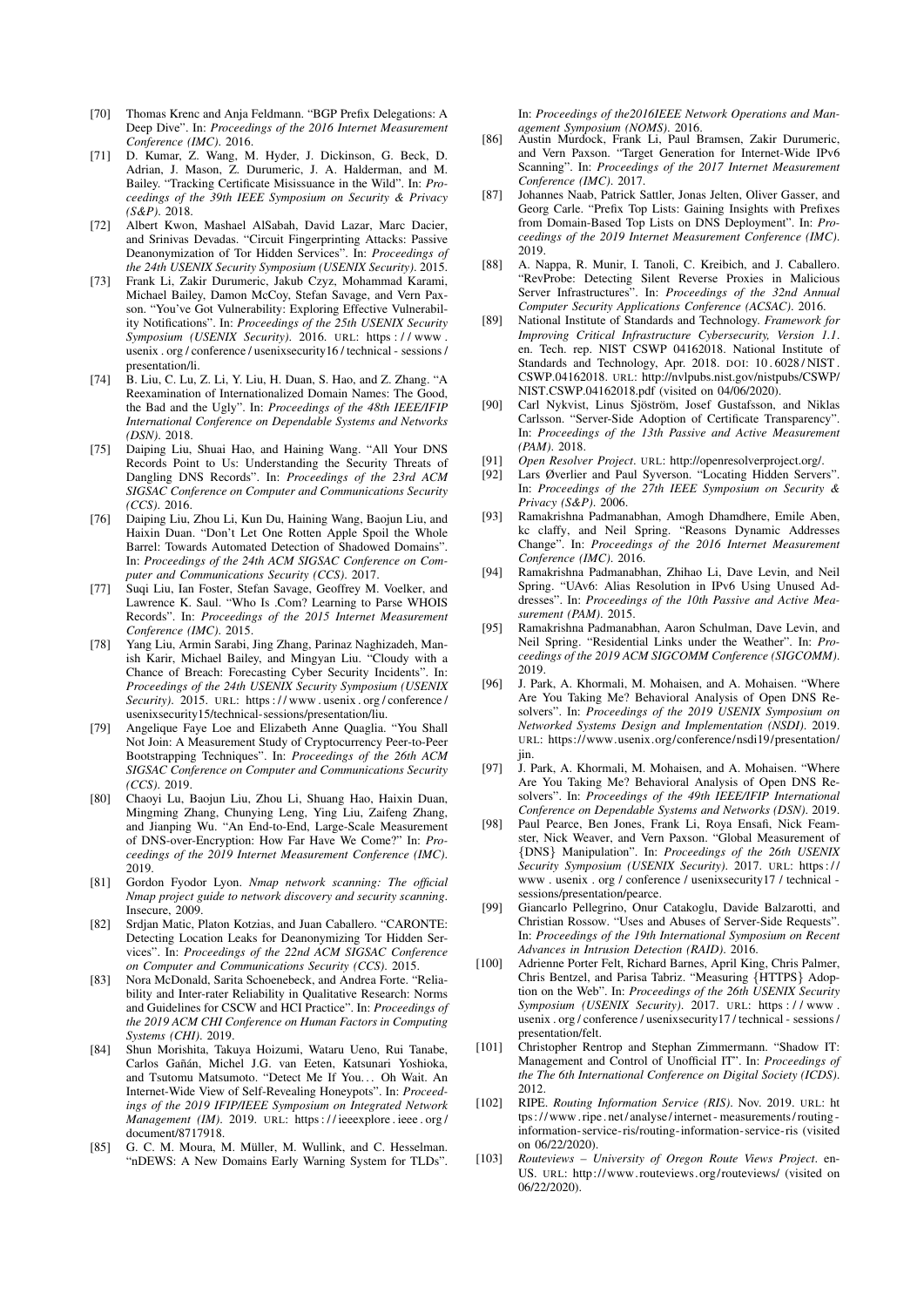- <span id="page-15-2"></span>[70] Thomas Krenc and Anja Feldmann. "BGP Prefix Delegations: A Deep Dive". In: *Proceedings of the 2016 Internet Measurement Conference (IMC)*. 2016.
- <span id="page-15-22"></span>[71] D. Kumar, Z. Wang, M. Hyder, J. Dickinson, G. Beck, D. Adrian, J. Mason, Z. Durumeric, J. A. Halderman, and M. Bailey. "Tracking Certificate Misissuance in the Wild". In: *Proceedings of the 39th IEEE Symposium on Security & Privacy (S&P)*. 2018.
- <span id="page-15-33"></span>[72] Albert Kwon, Mashael AlSabah, David Lazar, Marc Dacier, and Srinivas Devadas. "Circuit Fingerprinting Attacks: Passive Deanonymization of Tor Hidden Services". In: *Proceedings of the 24th USENIX Security Symposium (USENIX Security)*. 2015.
- <span id="page-15-23"></span>[73] Frank Li, Zakir Durumeric, Jakub Czyz, Mohammad Karami, Michael Bailey, Damon McCoy, Stefan Savage, and Vern Paxson. "You've Got Vulnerability: Exploring Effective Vulnerability Notifications". In: *Proceedings of the 25th USENIX Security Symposium (USENIX Security)*. 2016. URL: [https : / / www .](https://www.usenix.org/conference/usenixsecurity16/technical-sessions/presentation/li) [usenix . org / conference / usenixsecurity16 / technical - sessions /](https://www.usenix.org/conference/usenixsecurity16/technical-sessions/presentation/li) [presentation/li.](https://www.usenix.org/conference/usenixsecurity16/technical-sessions/presentation/li)
- <span id="page-15-5"></span>[74] B. Liu, C. Lu, Z. Li, Y. Liu, H. Duan, S. Hao, and Z. Zhang. "A Reexamination of Internationalized Domain Names: The Good, the Bad and the Ugly". In: *Proceedings of the 48th IEEE/IFIP International Conference on Dependable Systems and Networks (DSN)*. 2018.
- <span id="page-15-28"></span>[75] Daiping Liu, Shuai Hao, and Haining Wang. "All Your DNS Records Point to Us: Understanding the Security Threats of Dangling DNS Records". In: *Proceedings of the 23rd ACM SIGSAC Conference on Computer and Communications Security (CCS)*. 2016.
- <span id="page-15-7"></span>[76] Daiping Liu, Zhou Li, Kun Du, Haining Wang, Baojun Liu, and Haixin Duan. "Don't Let One Rotten Apple Spoil the Whole Barrel: Towards Automated Detection of Shadowed Domains". In: *Proceedings of the 24th ACM SIGSAC Conference on Computer and Communications Security (CCS)*. 2017.
- <span id="page-15-18"></span>[77] Suqi Liu, Ian Foster, Stefan Savage, Geoffrey M. Voelker, and Lawrence K. Saul. "Who Is .Com? Learning to Parse WHOIS Records". In: *Proceedings of the 2015 Internet Measurement Conference (IMC)*. 2015.
- <span id="page-15-3"></span>[78] Yang Liu, Armin Sarabi, Jing Zhang, Parinaz Naghizadeh, Manish Karir, Michael Bailey, and Mingyan Liu. "Cloudy with a Chance of Breach: Forecasting Cyber Security Incidents". In: *Proceedings of the 24th USENIX Security Symposium (USENIX Security)*. 2015. URL: [https : / / www . usenix . org / conference /](https://www.usenix.org/conference/usenixsecurity15/technical-sessions/presentation/liu) [usenixsecurity15/technical-sessions/presentation/liu.](https://www.usenix.org/conference/usenixsecurity15/technical-sessions/presentation/liu)
- <span id="page-15-21"></span>[79] Angelique Faye Loe and Elizabeth Anne Quaglia. "You Shall Not Join: A Measurement Study of Cryptocurrency Peer-to-Peer Bootstrapping Techniques". In: *Proceedings of the 26th ACM SIGSAC Conference on Computer and Communications Security (CCS)*. 2019.
- <span id="page-15-19"></span>[80] Chaoyi Lu, Baojun Liu, Zhou Li, Shuang Hao, Haixin Duan, Mingming Zhang, Chunying Leng, Ying Liu, Zaifeng Zhang, and Jianping Wu. "An End-to-End, Large-Scale Measurement of DNS-over-Encryption: How Far Have We Come?" In: *Proceedings of the 2019 Internet Measurement Conference (IMC)*. 2019.
- <span id="page-15-31"></span>[81] Gordon Fyodor Lyon. *Nmap network scanning: The official Nmap project guide to network discovery and security scanning*. Insecure, 2009.
- <span id="page-15-8"></span>[82] Srdjan Matic, Platon Kotzias, and Juan Caballero. "CARONTE: Detecting Location Leaks for Deanonymizing Tor Hidden Services". In: *Proceedings of the 22nd ACM SIGSAC Conference on Computer and Communications Security (CCS)*. 2015.
- <span id="page-15-4"></span>[83] Nora McDonald, Sarita Schoenebeck, and Andrea Forte. "Reliability and Inter-rater Reliability in Qualitative Research: Norms and Guidelines for CSCW and HCI Practice". In: *Proceedings of the 2019 ACM CHI Conference on Human Factors in Computing Systems (CHI)*. 2019.
- <span id="page-15-25"></span>[84] Shun Morishita, Takuya Hoizumi, Wataru Ueno, Rui Tanabe, Carlos Gañán, Michel J.G. van Eeten, Katsunari Yoshioka, and Tsutomu Matsumoto. "Detect Me If You... Oh Wait. An Internet-Wide View of Self-Revealing Honeypots". In: *Proceedings of the 2019 IFIP/IEEE Symposium on Integrated Network Management (IM).* 2019. URL: https://ieeexplore.ieee.org/ [document/8717918.](https://ieeexplore.ieee.org/document/8717918)
- <span id="page-15-6"></span>[85] G. C. M. Moura, M. Müller, M. Wullink, and C. Hesselman. "nDEWS: A New Domains Early Warning System for TLDs".

In: *Proceedings of the2016IEEE Network Operations and Management Symposium (NOMS)*. 2016.

- <span id="page-15-9"></span>[86] Austin Murdock, Frank Li, Paul Bramsen, Zakir Durumeric, and Vern Paxson. "Target Generation for Internet-Wide IPv6 Scanning". In: *Proceedings of the 2017 Internet Measurement Conference (IMC)*. 2017.
- <span id="page-15-29"></span>[87] Johannes Naab, Patrick Sattler, Jonas Jelten, Oliver Gasser, and Georg Carle. "Prefix Top Lists: Gaining Insights with Prefixes from Domain-Based Top Lists on DNS Deployment". In: *Proceedings of the 2019 Internet Measurement Conference (IMC)*. 2019.
- <span id="page-15-26"></span>[88] A. Nappa, R. Munir, I. Tanoli, C. Kreibich, and J. Caballero. "RevProbe: Detecting Silent Reverse Proxies in Malicious Server Infrastructures". In: *Proceedings of the 32nd Annual Computer Security Applications Conference (ACSAC)*. 2016.
- <span id="page-15-0"></span>[89] National Institute of Standards and Technology. *Framework for Improving Critical Infrastructure Cybersecurity, Version 1.1*. en. Tech. rep. NIST CSWP 04162018. National Institute of Standards and Technology, Apr. 2018. DOI: [10 . 6028 / NIST .](https://doi.org/10.6028/NIST.CSWP.04162018) [CSWP.04162018.](https://doi.org/10.6028/NIST.CSWP.04162018) URL: [http://nvlpubs.nist.gov/nistpubs/CSWP/](http://nvlpubs.nist.gov/nistpubs/CSWP/NIST.CSWP.04162018.pdf) [NIST.CSWP.04162018.pdf](http://nvlpubs.nist.gov/nistpubs/CSWP/NIST.CSWP.04162018.pdf) (visited on 04/06/2020).
- <span id="page-15-20"></span>[90] Carl Nykvist, Linus Sjöström, Josef Gustafsson, and Niklas Carlsson. "Server-Side Adoption of Certificate Transparency". In: *Proceedings of the 13th Passive and Active Measurement (PAM)*. 2018.
- <span id="page-15-27"></span>[91] *Open Resolver Project*. URL: [http://openresolverproject.org/.](http://openresolverproject.org/)
- <span id="page-15-32"></span>[92] Lars Øverlier and Paul Syverson. "Locating Hidden Servers". In: *Proceedings of the 27th IEEE Symposium on Security & Privacy (S&P)*. 2006.
- <span id="page-15-10"></span>[93] Ramakrishna Padmanabhan, Amogh Dhamdhere, Emile Aben, kc claffy, and Neil Spring. "Reasons Dynamic Addresses Change". In: *Proceedings of the 2016 Internet Measurement Conference (IMC)*. 2016.
- <span id="page-15-15"></span>[94] Ramakrishna Padmanabhan, Zhihao Li, Dave Levin, and Neil Spring. "UAv6: Alias Resolution in IPv6 Using Unused Addresses". In: *Proceedings of the 10th Passive and Active Measurement (PAM)*. 2015.
- <span id="page-15-14"></span>[95] Ramakrishna Padmanabhan, Aaron Schulman, Dave Levin, and Neil Spring. "Residential Links under the Weather". In: *Proceedings of the 2019 ACM SIGCOMM Conference (SIGCOMM)*. 2019.
- <span id="page-15-11"></span>[96] J. Park, A. Khormali, M. Mohaisen, and A. Mohaisen. "Where Are You Taking Me? Behavioral Analysis of Open DNS Resolvers". In: *Proceedings of the 2019 USENIX Symposium on Networked Systems Design and Implementation (NSDI)*. 2019. URL: [https://www.usenix.org/conference/nsdi19/presentation/](https://www.usenix.org/conference/nsdi19/presentation/jin) [jin.](https://www.usenix.org/conference/nsdi19/presentation/jin)
- <span id="page-15-13"></span>[97] J. Park, A. Khormali, M. Mohaisen, and A. Mohaisen. "Where Are You Taking Me? Behavioral Analysis of Open DNS Resolvers". In: *Proceedings of the 49th IEEE/IFIP International Conference on Dependable Systems and Networks (DSN)*. 2019.
- <span id="page-15-12"></span>Paul Pearce, Ben Jones, Frank Li, Roya Ensafi, Nick Feamster, Nick Weaver, and Vern Paxson. "Global Measurement of {DNS} Manipulation". In: *Proceedings of the 26th USENIX Security Symposium (USENIX Security)*. 2017. URL: [https : / /](https://www.usenix.org/conference/usenixsecurity17/technical-sessions/presentation/pearce) [www . usenix . org / conference / usenixsecurity17 / technical](https://www.usenix.org/conference/usenixsecurity17/technical-sessions/presentation/pearce)  [sessions/presentation/pearce.](https://www.usenix.org/conference/usenixsecurity17/technical-sessions/presentation/pearce)
- <span id="page-15-30"></span>[99] Giancarlo Pellegrino, Onur Catakoglu, Davide Balzarotti, and Christian Rossow. "Uses and Abuses of Server-Side Requests". In: *Proceedings of the 19th International Symposium on Recent Advances in Intrusion Detection (RAID)*. 2016.
- <span id="page-15-24"></span>[100] Adrienne Porter Felt, Richard Barnes, April King, Chris Palmer, Chris Bentzel, and Parisa Tabriz. "Measuring {HTTPS} Adoption on the Web". In: *Proceedings of the 26th USENIX Security Symposium (USENIX Security)*. 2017. URL: [https : / / www .](https://www.usenix.org/conference/usenixsecurity17/technical-sessions/presentation/felt) [usenix . org / conference / usenixsecurity17 / technical - sessions /](https://www.usenix.org/conference/usenixsecurity17/technical-sessions/presentation/felt) [presentation/felt.](https://www.usenix.org/conference/usenixsecurity17/technical-sessions/presentation/felt)
- <span id="page-15-1"></span>[101] Christopher Rentrop and Stephan Zimmermann. "Shadow IT: Management and Control of Unofficial IT". In: *Proceedings of the The 6th International Conference on Digital Society (ICDS)*. 2012.
- <span id="page-15-17"></span>[102] RIPE. *Routing Information Service (RIS)*. Nov. 2019. URL: [ht](https://www.ripe.net/analyse/internet-measurements/routing-information-service-ris/routing-information-service-ris) [tps:// www . ripe . net/ analyse/internet - measurements/ routing](https://www.ripe.net/analyse/internet-measurements/routing-information-service-ris/routing-information-service-ris)  [information-service- ris/routing-information-service- ris](https://www.ripe.net/analyse/internet-measurements/routing-information-service-ris/routing-information-service-ris) (visited on 06/22/2020).
- <span id="page-15-16"></span>[103] *Routeviews – University of Oregon Route Views Project*. en-US. URL: http://www.routeviews.org/routeviews/ (visited on 06/22/2020).